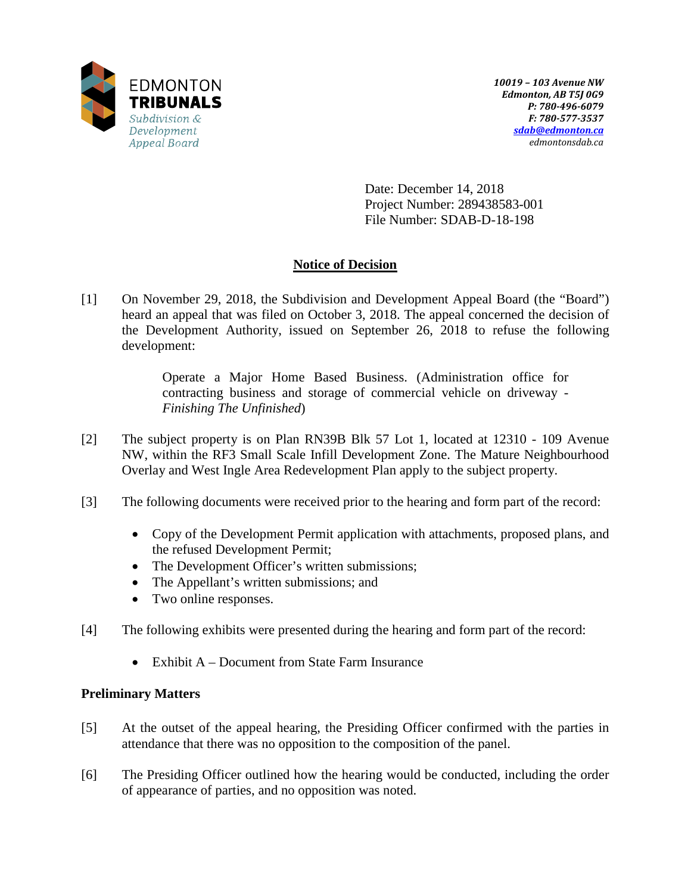

Date: December 14, 2018 Project Number: 289438583-001 File Number: SDAB-D-18-198

# **Notice of Decision**

[1] On November 29, 2018, the Subdivision and Development Appeal Board (the "Board") heard an appeal that was filed on October 3, 2018. The appeal concerned the decision of the Development Authority, issued on September 26, 2018 to refuse the following development:

> Operate a Major Home Based Business. (Administration office for contracting business and storage of commercial vehicle on driveway - *Finishing The Unfinished*)

- [2] The subject property is on Plan RN39B Blk 57 Lot 1, located at 12310 109 Avenue NW, within the RF3 Small Scale Infill Development Zone. The Mature Neighbourhood Overlay and West Ingle Area Redevelopment Plan apply to the subject property.
- [3] The following documents were received prior to the hearing and form part of the record:
	- Copy of the Development Permit application with attachments, proposed plans, and the refused Development Permit;
	- The Development Officer's written submissions;
	- The Appellant's written submissions; and
	- Two online responses.
- [4] The following exhibits were presented during the hearing and form part of the record:
	- Exhibit A Document from State Farm Insurance

## **Preliminary Matters**

- [5] At the outset of the appeal hearing, the Presiding Officer confirmed with the parties in attendance that there was no opposition to the composition of the panel.
- [6] The Presiding Officer outlined how the hearing would be conducted, including the order of appearance of parties, and no opposition was noted.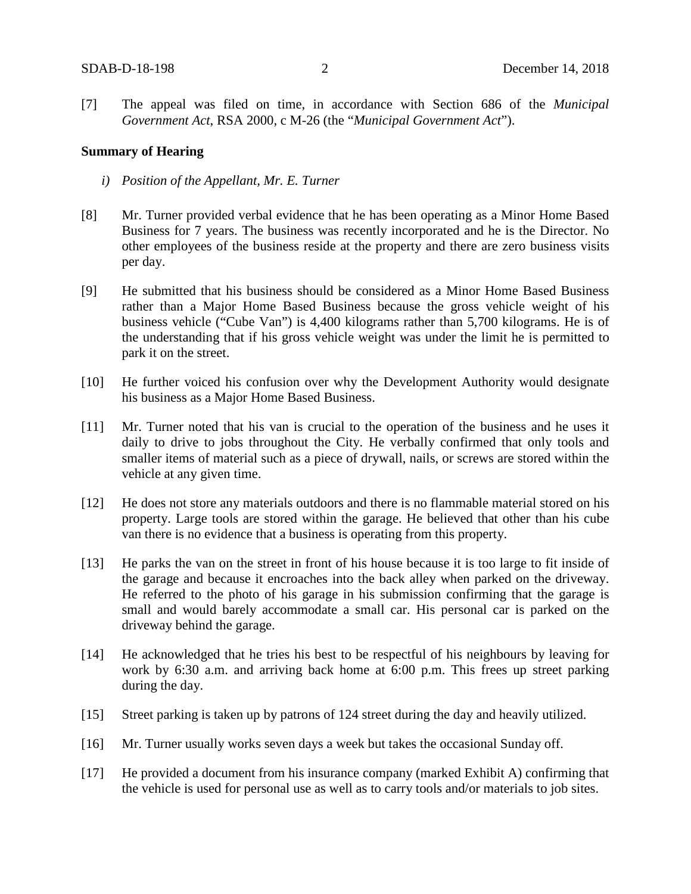[7] The appeal was filed on time, in accordance with Section 686 of the *Municipal Government Act*, RSA 2000, c M-26 (the "*Municipal Government Act*").

#### **Summary of Hearing**

- *i) Position of the Appellant, Mr. E. Turner*
- [8] Mr. Turner provided verbal evidence that he has been operating as a Minor Home Based Business for 7 years. The business was recently incorporated and he is the Director. No other employees of the business reside at the property and there are zero business visits per day.
- [9] He submitted that his business should be considered as a Minor Home Based Business rather than a Major Home Based Business because the gross vehicle weight of his business vehicle ("Cube Van") is 4,400 kilograms rather than 5,700 kilograms. He is of the understanding that if his gross vehicle weight was under the limit he is permitted to park it on the street.
- [10] He further voiced his confusion over why the Development Authority would designate his business as a Major Home Based Business.
- [11] Mr. Turner noted that his van is crucial to the operation of the business and he uses it daily to drive to jobs throughout the City. He verbally confirmed that only tools and smaller items of material such as a piece of drywall, nails, or screws are stored within the vehicle at any given time.
- [12] He does not store any materials outdoors and there is no flammable material stored on his property. Large tools are stored within the garage. He believed that other than his cube van there is no evidence that a business is operating from this property.
- [13] He parks the van on the street in front of his house because it is too large to fit inside of the garage and because it encroaches into the back alley when parked on the driveway. He referred to the photo of his garage in his submission confirming that the garage is small and would barely accommodate a small car. His personal car is parked on the driveway behind the garage.
- [14] He acknowledged that he tries his best to be respectful of his neighbours by leaving for work by 6:30 a.m. and arriving back home at 6:00 p.m. This frees up street parking during the day.
- [15] Street parking is taken up by patrons of 124 street during the day and heavily utilized.
- [16] Mr. Turner usually works seven days a week but takes the occasional Sunday off.
- [17] He provided a document from his insurance company (marked Exhibit A) confirming that the vehicle is used for personal use as well as to carry tools and/or materials to job sites.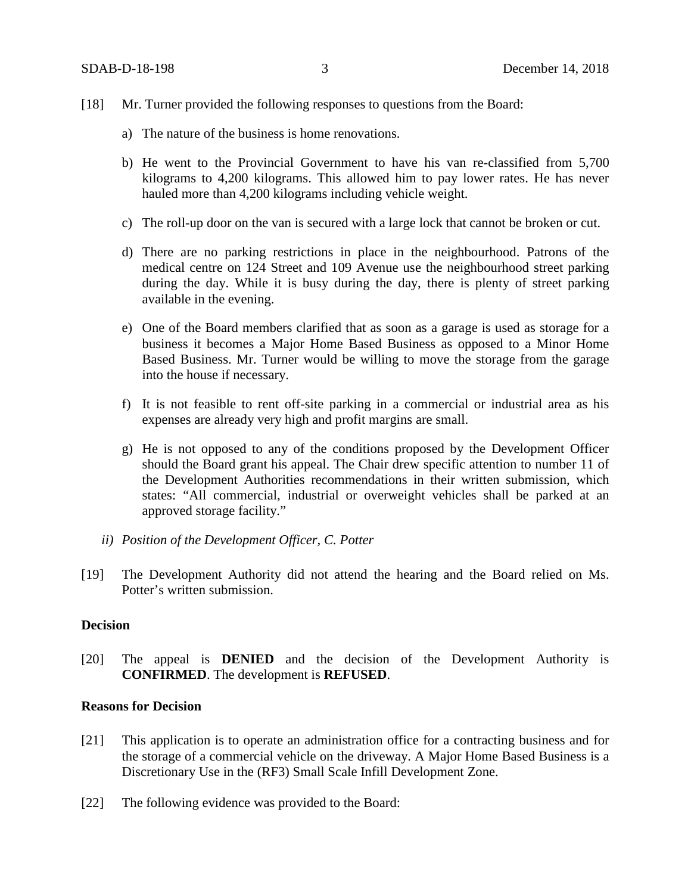- [18] Mr. Turner provided the following responses to questions from the Board:
	- a) The nature of the business is home renovations.
	- b) He went to the Provincial Government to have his van re-classified from 5,700 kilograms to 4,200 kilograms. This allowed him to pay lower rates. He has never hauled more than 4,200 kilograms including vehicle weight.
	- c) The roll-up door on the van is secured with a large lock that cannot be broken or cut.
	- d) There are no parking restrictions in place in the neighbourhood. Patrons of the medical centre on 124 Street and 109 Avenue use the neighbourhood street parking during the day. While it is busy during the day, there is plenty of street parking available in the evening.
	- e) One of the Board members clarified that as soon as a garage is used as storage for a business it becomes a Major Home Based Business as opposed to a Minor Home Based Business. Mr. Turner would be willing to move the storage from the garage into the house if necessary.
	- f) It is not feasible to rent off-site parking in a commercial or industrial area as his expenses are already very high and profit margins are small.
	- g) He is not opposed to any of the conditions proposed by the Development Officer should the Board grant his appeal. The Chair drew specific attention to number 11 of the Development Authorities recommendations in their written submission, which states: "All commercial, industrial or overweight vehicles shall be parked at an approved storage facility."
	- *ii) Position of the Development Officer, C. Potter*
- [19] The Development Authority did not attend the hearing and the Board relied on Ms. Potter's written submission.

#### **Decision**

[20] The appeal is **DENIED** and the decision of the Development Authority is **CONFIRMED**. The development is **REFUSED**.

#### **Reasons for Decision**

- [21] This application is to operate an administration office for a contracting business and for the storage of a commercial vehicle on the driveway. A Major Home Based Business is a Discretionary Use in the (RF3) Small Scale Infill Development Zone.
- [22] The following evidence was provided to the Board: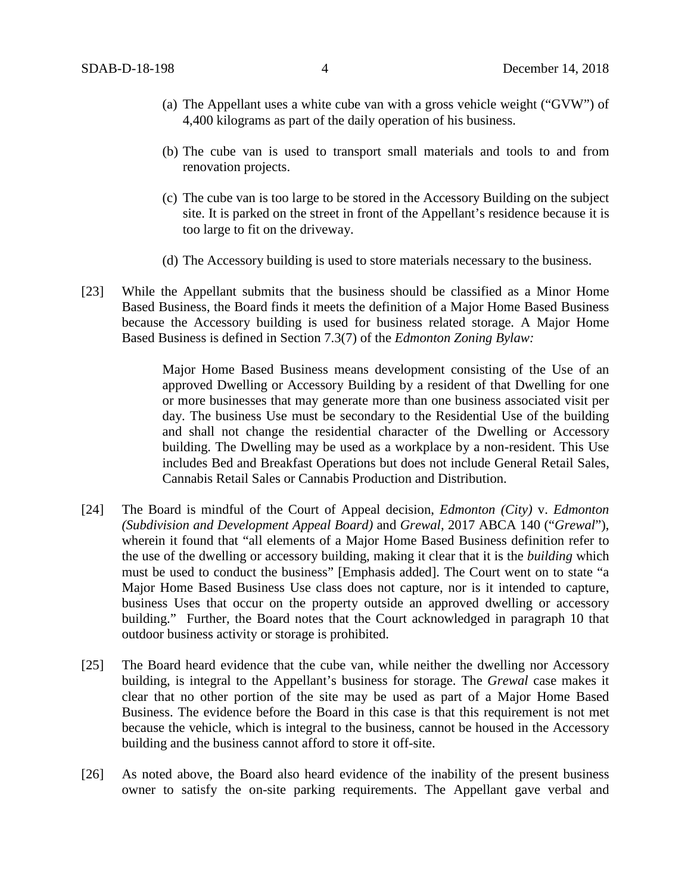- (a) The Appellant uses a white cube van with a gross vehicle weight ("GVW") of 4,400 kilograms as part of the daily operation of his business.
- (b) The cube van is used to transport small materials and tools to and from renovation projects.
- (c) The cube van is too large to be stored in the Accessory Building on the subject site. It is parked on the street in front of the Appellant's residence because it is too large to fit on the driveway.
- (d) The Accessory building is used to store materials necessary to the business.
- [23] While the Appellant submits that the business should be classified as a Minor Home Based Business, the Board finds it meets the definition of a Major Home Based Business because the Accessory building is used for business related storage. A Major Home Based Business is defined in Section 7.3(7) of the *Edmonton Zoning Bylaw:*

Major Home Based Business means development consisting of the Use of an approved Dwelling or Accessory Building by a resident of that Dwelling for one or more businesses that may generate more than one business associated visit per day. The business Use must be secondary to the Residential Use of the building and shall not change the residential character of the Dwelling or Accessory building. The Dwelling may be used as a workplace by a non-resident. This Use includes Bed and Breakfast Operations but does not include General Retail Sales, Cannabis Retail Sales or Cannabis Production and Distribution.

- [24] The Board is mindful of the Court of Appeal decision, *Edmonton (City)* v. *Edmonton (Subdivision and Development Appeal Board)* and *Grewal*, 2017 ABCA 140 ("*Grewal*"), wherein it found that "all elements of a Major Home Based Business definition refer to the use of the dwelling or accessory building, making it clear that it is the *building* which must be used to conduct the business" [Emphasis added]. The Court went on to state "a Major Home Based Business Use class does not capture, nor is it intended to capture, business Uses that occur on the property outside an approved dwelling or accessory building." Further, the Board notes that the Court acknowledged in paragraph 10 that outdoor business activity or storage is prohibited.
- [25] The Board heard evidence that the cube van, while neither the dwelling nor Accessory building, is integral to the Appellant's business for storage. The *Grewal* case makes it clear that no other portion of the site may be used as part of a Major Home Based Business. The evidence before the Board in this case is that this requirement is not met because the vehicle, which is integral to the business, cannot be housed in the Accessory building and the business cannot afford to store it off-site.
- [26] As noted above, the Board also heard evidence of the inability of the present business owner to satisfy the on-site parking requirements. The Appellant gave verbal and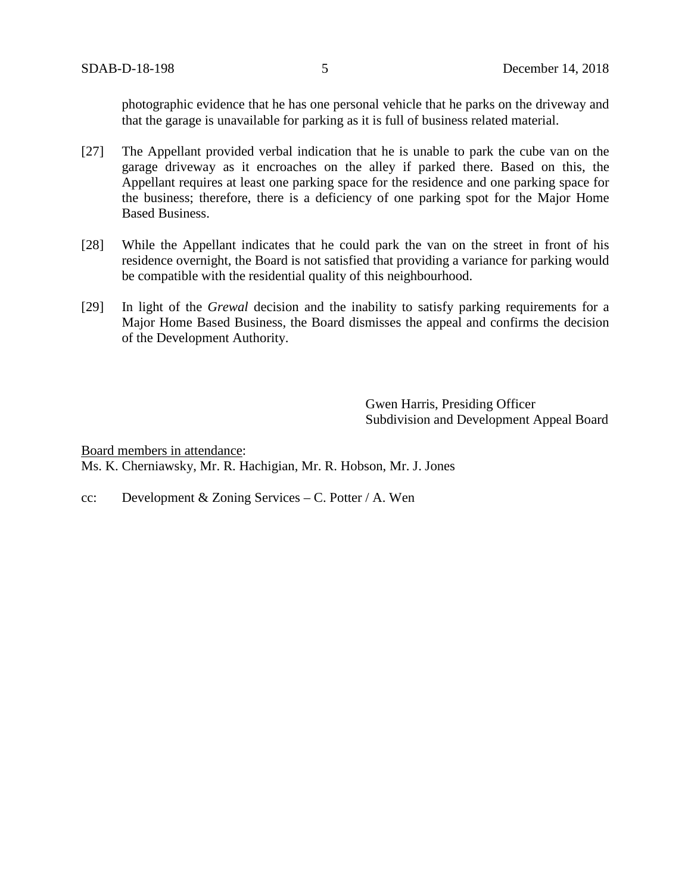photographic evidence that he has one personal vehicle that he parks on the driveway and that the garage is unavailable for parking as it is full of business related material.

- [27] The Appellant provided verbal indication that he is unable to park the cube van on the garage driveway as it encroaches on the alley if parked there. Based on this, the Appellant requires at least one parking space for the residence and one parking space for the business; therefore, there is a deficiency of one parking spot for the Major Home Based Business.
- [28] While the Appellant indicates that he could park the van on the street in front of his residence overnight, the Board is not satisfied that providing a variance for parking would be compatible with the residential quality of this neighbourhood.
- [29] In light of the *Grewal* decision and the inability to satisfy parking requirements for a Major Home Based Business, the Board dismisses the appeal and confirms the decision of the Development Authority.

Gwen Harris, Presiding Officer Subdivision and Development Appeal Board

Board members in attendance: Ms. K. Cherniawsky, Mr. R. Hachigian, Mr. R. Hobson, Mr. J. Jones

cc: Development & Zoning Services – C. Potter / A. Wen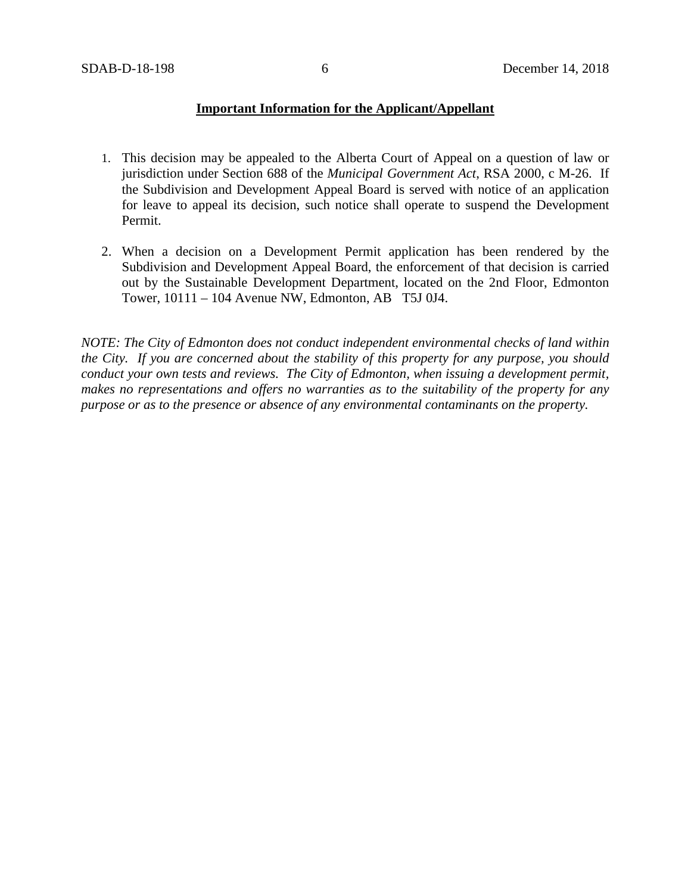## **Important Information for the Applicant/Appellant**

- 1. This decision may be appealed to the Alberta Court of Appeal on a question of law or jurisdiction under Section 688 of the *Municipal Government Act*, RSA 2000, c M-26. If the Subdivision and Development Appeal Board is served with notice of an application for leave to appeal its decision, such notice shall operate to suspend the Development Permit.
- 2. When a decision on a Development Permit application has been rendered by the Subdivision and Development Appeal Board, the enforcement of that decision is carried out by the Sustainable Development Department, located on the 2nd Floor, Edmonton Tower, 10111 – 104 Avenue NW, Edmonton, AB T5J 0J4.

*NOTE: The City of Edmonton does not conduct independent environmental checks of land within the City. If you are concerned about the stability of this property for any purpose, you should conduct your own tests and reviews. The City of Edmonton, when issuing a development permit, makes no representations and offers no warranties as to the suitability of the property for any purpose or as to the presence or absence of any environmental contaminants on the property.*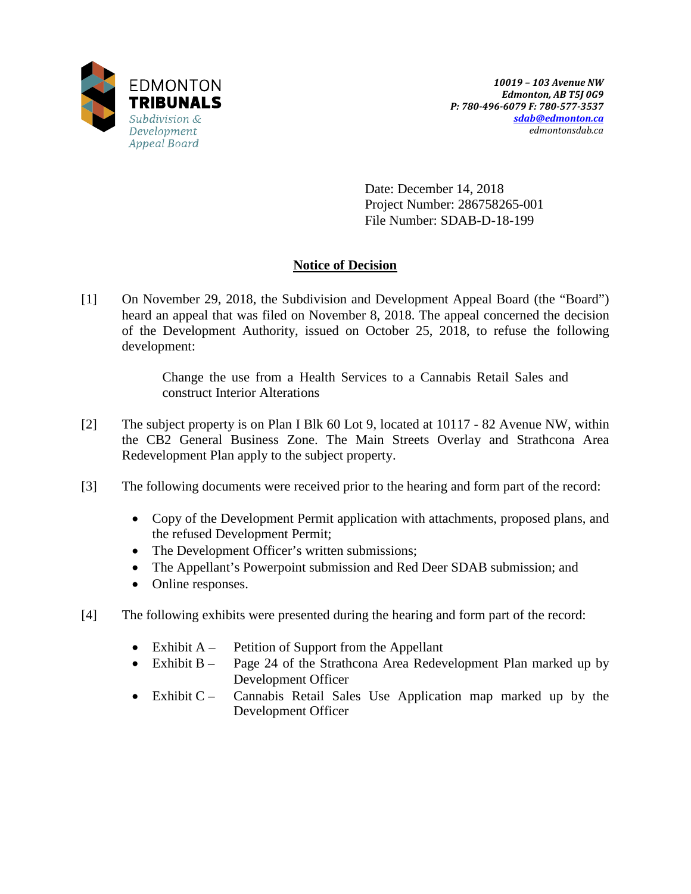

Date: December 14, 2018 Project Number: 286758265-001 File Number: SDAB-D-18-199

# **Notice of Decision**

[1] On November 29, 2018, the Subdivision and Development Appeal Board (the "Board") heard an appeal that was filed on November 8, 2018. The appeal concerned the decision of the Development Authority, issued on October 25, 2018, to refuse the following development:

> Change the use from a Health Services to a Cannabis Retail Sales and construct Interior Alterations

- [2] The subject property is on Plan I Blk 60 Lot 9, located at 10117 82 Avenue NW, within the CB2 General Business Zone. The Main Streets Overlay and Strathcona Area Redevelopment Plan apply to the subject property.
- [3] The following documents were received prior to the hearing and form part of the record:
	- Copy of the Development Permit application with attachments, proposed plans, and the refused Development Permit;
	- The Development Officer's written submissions;
	- The Appellant's Powerpoint submission and Red Deer SDAB submission; and
	- Online responses.
- [4] The following exhibits were presented during the hearing and form part of the record:
	- Exhibit A Petition of Support from the Appellant
	- Exhibit B Page 24 of the Strathcona Area Redevelopment Plan marked up by Development Officer
	- Exhibit C Cannabis Retail Sales Use Application map marked up by the Development Officer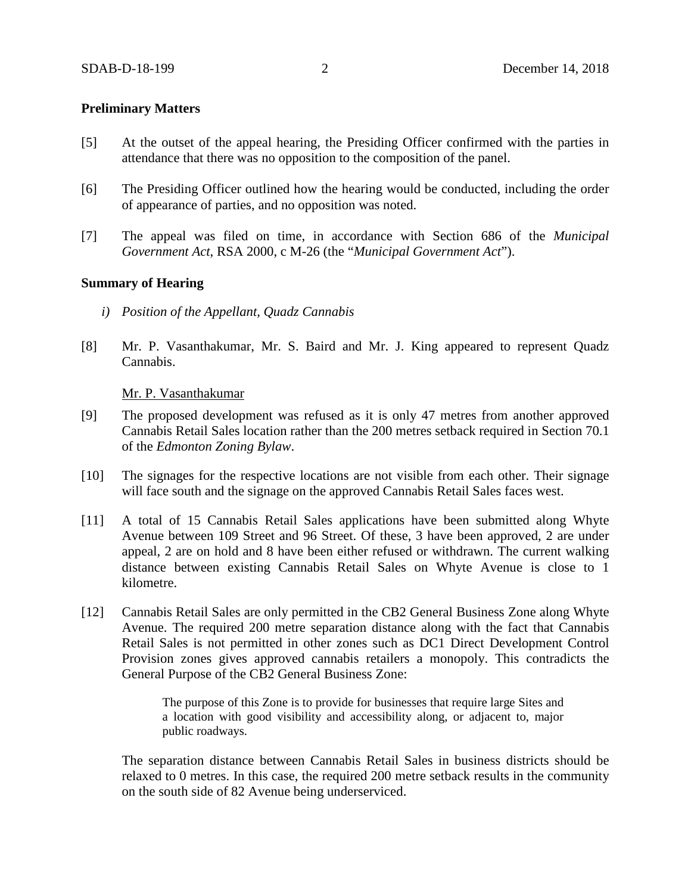### **Preliminary Matters**

- [5] At the outset of the appeal hearing, the Presiding Officer confirmed with the parties in attendance that there was no opposition to the composition of the panel.
- [6] The Presiding Officer outlined how the hearing would be conducted, including the order of appearance of parties, and no opposition was noted.
- [7] The appeal was filed on time, in accordance with Section 686 of the *Municipal Government Act*, RSA 2000, c M-26 (the "*Municipal Government Act*").

### **Summary of Hearing**

- *i) Position of the Appellant, Quadz Cannabis*
- [8] Mr. P. Vasanthakumar, Mr. S. Baird and Mr. J. King appeared to represent Quadz Cannabis.

Mr. P. Vasanthakumar

- [9] The proposed development was refused as it is only 47 metres from another approved Cannabis Retail Sales location rather than the 200 metres setback required in Section 70.1 of the *Edmonton Zoning Bylaw*.
- [10] The signages for the respective locations are not visible from each other. Their signage will face south and the signage on the approved Cannabis Retail Sales faces west.
- [11] A total of 15 Cannabis Retail Sales applications have been submitted along Whyte Avenue between 109 Street and 96 Street. Of these, 3 have been approved, 2 are under appeal, 2 are on hold and 8 have been either refused or withdrawn. The current walking distance between existing Cannabis Retail Sales on Whyte Avenue is close to 1 kilometre.
- [12] Cannabis Retail Sales are only permitted in the CB2 General Business Zone along Whyte Avenue. The required 200 metre separation distance along with the fact that Cannabis Retail Sales is not permitted in other zones such as DC1 Direct Development Control Provision zones gives approved cannabis retailers a monopoly. This contradicts the General Purpose of the CB2 General Business Zone:

The purpose of this Zone is to provide for businesses that require large Sites and a location with good visibility and accessibility along, or adjacent to, major public roadways.

The separation distance between Cannabis Retail Sales in business districts should be relaxed to 0 metres. In this case, the required 200 metre setback results in the community on the south side of 82 Avenue being underserviced.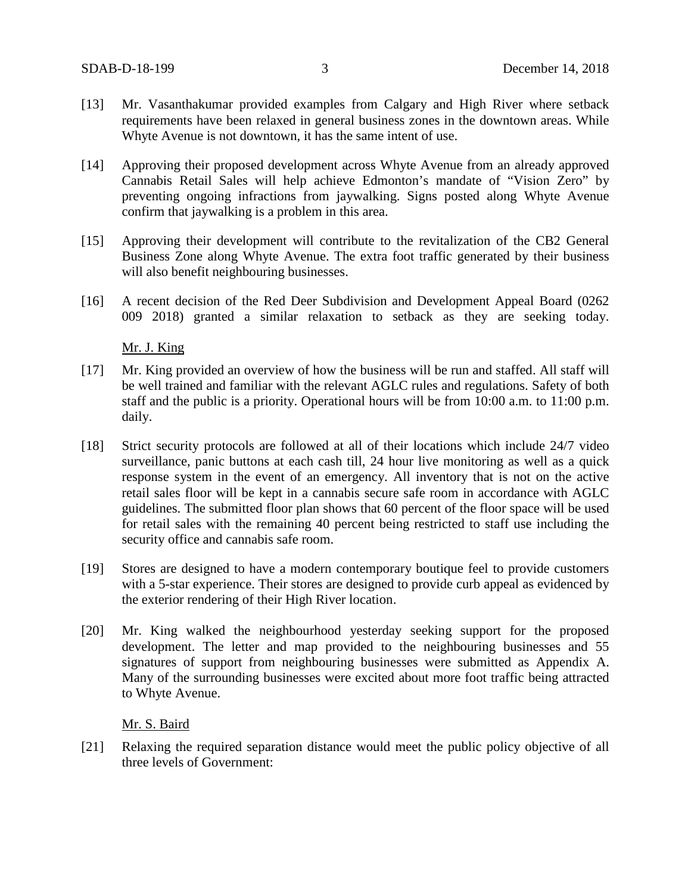- [13] Mr. Vasanthakumar provided examples from Calgary and High River where setback requirements have been relaxed in general business zones in the downtown areas. While Whyte Avenue is not downtown, it has the same intent of use.
- [14] Approving their proposed development across Whyte Avenue from an already approved Cannabis Retail Sales will help achieve Edmonton's mandate of "Vision Zero" by preventing ongoing infractions from jaywalking. Signs posted along Whyte Avenue confirm that jaywalking is a problem in this area.
- [15] Approving their development will contribute to the revitalization of the CB2 General Business Zone along Whyte Avenue. The extra foot traffic generated by their business will also benefit neighbouring businesses.
- [16] A recent decision of the Red Deer Subdivision and Development Appeal Board (0262 009 2018) granted a similar relaxation to setback as they are seeking today.

Mr. J. King

- [17] Mr. King provided an overview of how the business will be run and staffed. All staff will be well trained and familiar with the relevant AGLC rules and regulations. Safety of both staff and the public is a priority. Operational hours will be from 10:00 a.m. to 11:00 p.m. daily.
- [18] Strict security protocols are followed at all of their locations which include 24/7 video surveillance, panic buttons at each cash till, 24 hour live monitoring as well as a quick response system in the event of an emergency. All inventory that is not on the active retail sales floor will be kept in a cannabis secure safe room in accordance with AGLC guidelines. The submitted floor plan shows that 60 percent of the floor space will be used for retail sales with the remaining 40 percent being restricted to staff use including the security office and cannabis safe room.
- [19] Stores are designed to have a modern contemporary boutique feel to provide customers with a 5-star experience. Their stores are designed to provide curb appeal as evidenced by the exterior rendering of their High River location.
- [20] Mr. King walked the neighbourhood yesterday seeking support for the proposed development. The letter and map provided to the neighbouring businesses and 55 signatures of support from neighbouring businesses were submitted as Appendix A. Many of the surrounding businesses were excited about more foot traffic being attracted to Whyte Avenue.

Mr. S. Baird

[21] Relaxing the required separation distance would meet the public policy objective of all three levels of Government: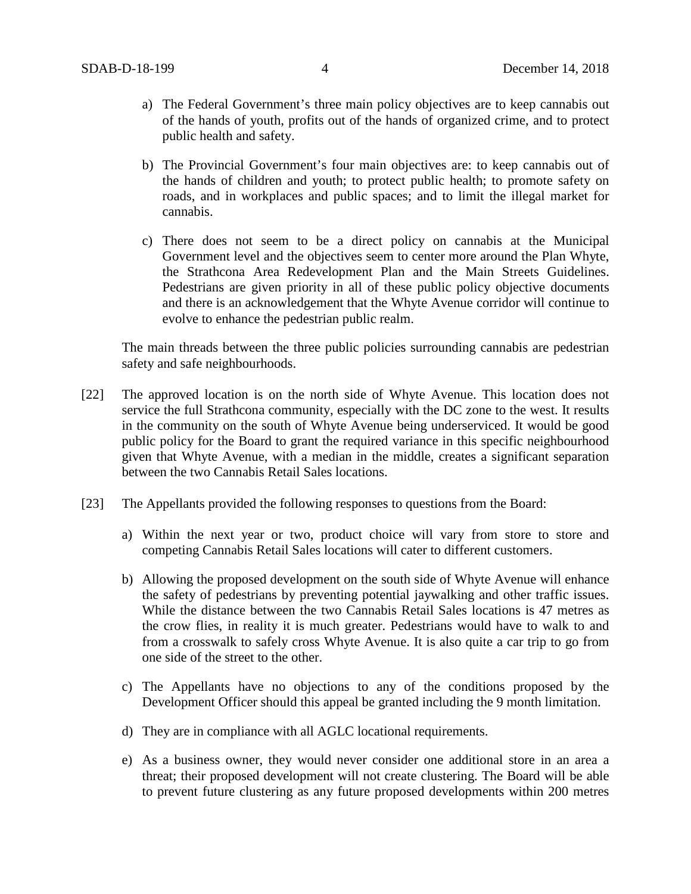- a) The Federal Government's three main policy objectives are to keep cannabis out of the hands of youth, profits out of the hands of organized crime, and to protect public health and safety.
- b) The Provincial Government's four main objectives are: to keep cannabis out of the hands of children and youth; to protect public health; to promote safety on roads, and in workplaces and public spaces; and to limit the illegal market for cannabis.
- c) There does not seem to be a direct policy on cannabis at the Municipal Government level and the objectives seem to center more around the Plan Whyte, the Strathcona Area Redevelopment Plan and the Main Streets Guidelines. Pedestrians are given priority in all of these public policy objective documents and there is an acknowledgement that the Whyte Avenue corridor will continue to evolve to enhance the pedestrian public realm.

The main threads between the three public policies surrounding cannabis are pedestrian safety and safe neighbourhoods.

- [22] The approved location is on the north side of Whyte Avenue. This location does not service the full Strathcona community, especially with the DC zone to the west. It results in the community on the south of Whyte Avenue being underserviced. It would be good public policy for the Board to grant the required variance in this specific neighbourhood given that Whyte Avenue, with a median in the middle, creates a significant separation between the two Cannabis Retail Sales locations.
- [23] The Appellants provided the following responses to questions from the Board:
	- a) Within the next year or two, product choice will vary from store to store and competing Cannabis Retail Sales locations will cater to different customers.
	- b) Allowing the proposed development on the south side of Whyte Avenue will enhance the safety of pedestrians by preventing potential jaywalking and other traffic issues. While the distance between the two Cannabis Retail Sales locations is 47 metres as the crow flies, in reality it is much greater. Pedestrians would have to walk to and from a crosswalk to safely cross Whyte Avenue. It is also quite a car trip to go from one side of the street to the other.
	- c) The Appellants have no objections to any of the conditions proposed by the Development Officer should this appeal be granted including the 9 month limitation.
	- d) They are in compliance with all AGLC locational requirements.
	- e) As a business owner, they would never consider one additional store in an area a threat; their proposed development will not create clustering. The Board will be able to prevent future clustering as any future proposed developments within 200 metres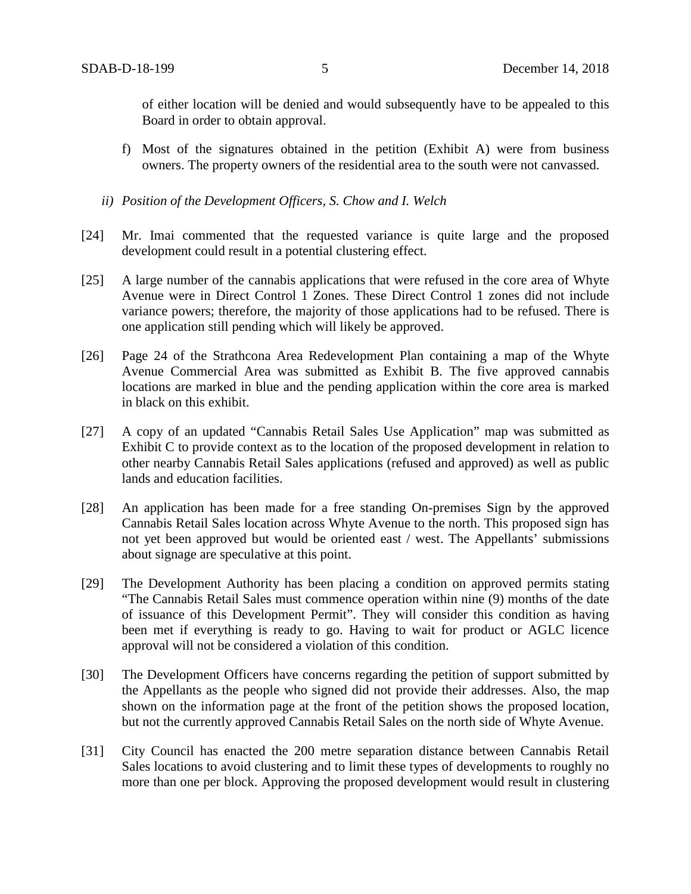of either location will be denied and would subsequently have to be appealed to this Board in order to obtain approval.

- f) Most of the signatures obtained in the petition (Exhibit A) were from business owners. The property owners of the residential area to the south were not canvassed.
- *ii) Position of the Development Officers, S. Chow and I. Welch*
- [24] Mr. Imai commented that the requested variance is quite large and the proposed development could result in a potential clustering effect.
- [25] A large number of the cannabis applications that were refused in the core area of Whyte Avenue were in Direct Control 1 Zones. These Direct Control 1 zones did not include variance powers; therefore, the majority of those applications had to be refused. There is one application still pending which will likely be approved.
- [26] Page 24 of the Strathcona Area Redevelopment Plan containing a map of the Whyte Avenue Commercial Area was submitted as Exhibit B. The five approved cannabis locations are marked in blue and the pending application within the core area is marked in black on this exhibit.
- [27] A copy of an updated "Cannabis Retail Sales Use Application" map was submitted as Exhibit C to provide context as to the location of the proposed development in relation to other nearby Cannabis Retail Sales applications (refused and approved) as well as public lands and education facilities.
- [28] An application has been made for a free standing On-premises Sign by the approved Cannabis Retail Sales location across Whyte Avenue to the north. This proposed sign has not yet been approved but would be oriented east / west. The Appellants' submissions about signage are speculative at this point.
- [29] The Development Authority has been placing a condition on approved permits stating "The Cannabis Retail Sales must commence operation within nine (9) months of the date of issuance of this Development Permit". They will consider this condition as having been met if everything is ready to go. Having to wait for product or AGLC licence approval will not be considered a violation of this condition.
- [30] The Development Officers have concerns regarding the petition of support submitted by the Appellants as the people who signed did not provide their addresses. Also, the map shown on the information page at the front of the petition shows the proposed location, but not the currently approved Cannabis Retail Sales on the north side of Whyte Avenue.
- [31] City Council has enacted the 200 metre separation distance between Cannabis Retail Sales locations to avoid clustering and to limit these types of developments to roughly no more than one per block. Approving the proposed development would result in clustering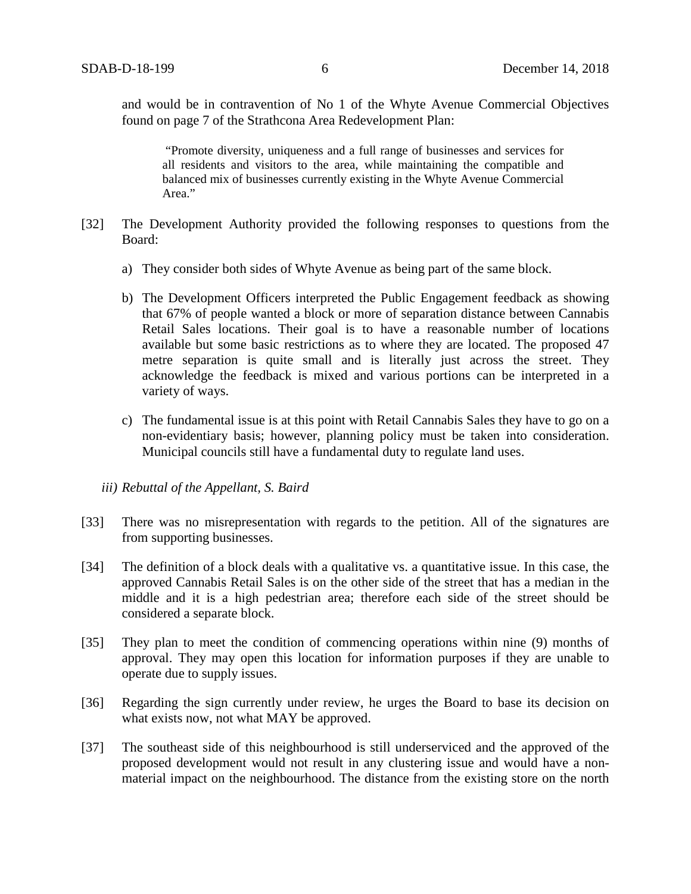and would be in contravention of No 1 of the Whyte Avenue Commercial Objectives found on page 7 of the Strathcona Area Redevelopment Plan:

"Promote diversity, uniqueness and a full range of businesses and services for all residents and visitors to the area, while maintaining the compatible and balanced mix of businesses currently existing in the Whyte Avenue Commercial Area."

- [32] The Development Authority provided the following responses to questions from the Board:
	- a) They consider both sides of Whyte Avenue as being part of the same block.
	- b) The Development Officers interpreted the Public Engagement feedback as showing that 67% of people wanted a block or more of separation distance between Cannabis Retail Sales locations. Their goal is to have a reasonable number of locations available but some basic restrictions as to where they are located. The proposed 47 metre separation is quite small and is literally just across the street. They acknowledge the feedback is mixed and various portions can be interpreted in a variety of ways.
	- c) The fundamental issue is at this point with Retail Cannabis Sales they have to go on a non-evidentiary basis; however, planning policy must be taken into consideration. Municipal councils still have a fundamental duty to regulate land uses.
	- *iii) Rebuttal of the Appellant, S. Baird*
- [33] There was no misrepresentation with regards to the petition. All of the signatures are from supporting businesses.
- [34] The definition of a block deals with a qualitative vs. a quantitative issue. In this case, the approved Cannabis Retail Sales is on the other side of the street that has a median in the middle and it is a high pedestrian area; therefore each side of the street should be considered a separate block.
- [35] They plan to meet the condition of commencing operations within nine (9) months of approval. They may open this location for information purposes if they are unable to operate due to supply issues.
- [36] Regarding the sign currently under review, he urges the Board to base its decision on what exists now, not what MAY be approved.
- [37] The southeast side of this neighbourhood is still underserviced and the approved of the proposed development would not result in any clustering issue and would have a nonmaterial impact on the neighbourhood. The distance from the existing store on the north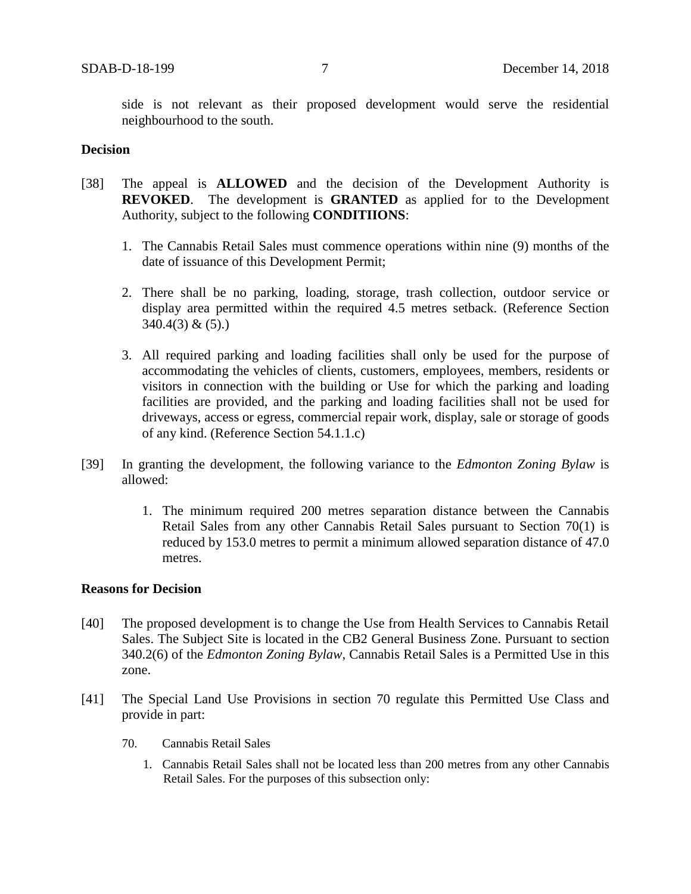side is not relevant as their proposed development would serve the residential neighbourhood to the south.

## **Decision**

- [38] The appeal is **ALLOWED** and the decision of the Development Authority is **REVOKED**. The development is **GRANTED** as applied for to the Development Authority, subject to the following **CONDITIIONS**:
	- 1. The Cannabis Retail Sales must commence operations within nine (9) months of the date of issuance of this Development Permit;
	- 2. There shall be no parking, loading, storage, trash collection, outdoor service or display area permitted within the required 4.5 metres setback. (Reference Section  $340.4(3)$  &  $(5)$ .)
	- 3. All required parking and loading facilities shall only be used for the purpose of accommodating the vehicles of clients, customers, employees, members, residents or visitors in connection with the building or Use for which the parking and loading facilities are provided, and the parking and loading facilities shall not be used for driveways, access or egress, commercial repair work, display, sale or storage of goods of any kind. (Reference Section 54.1.1.c)
- [39] In granting the development, the following variance to the *Edmonton Zoning Bylaw* is allowed:
	- 1. The minimum required 200 metres separation distance between the Cannabis Retail Sales from any other Cannabis Retail Sales pursuant to Section 70(1) is reduced by 153.0 metres to permit a minimum allowed separation distance of 47.0 metres.

### **Reasons for Decision**

- [40] The proposed development is to change the Use from Health Services to Cannabis Retail Sales. The Subject Site is located in the CB2 General Business Zone. Pursuant to section 340.2(6) of the *Edmonton Zoning Bylaw*, Cannabis Retail Sales is a Permitted Use in this zone.
- [41] The Special Land Use Provisions in section 70 regulate this Permitted Use Class and provide in part:
	- 70. Cannabis Retail Sales
		- 1. Cannabis Retail Sales shall not be located less than 200 metres from any other Cannabis Retail Sales. For the purposes of this subsection only: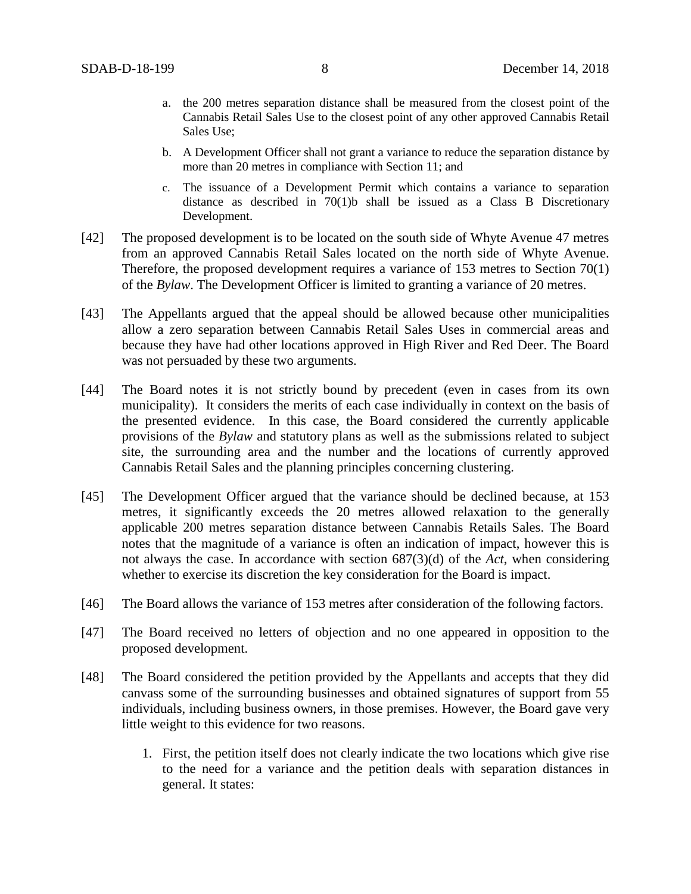- a. the [200 me](javascript:void(0);)tres separation distance shall be measured from the closest point of the Cannabis Retail Sales Use to the closest point of any other approved Cannabis Retail Sales Use;
- b. A Development Officer shall not grant a variance to reduce the separation distance by more than [20 me](javascript:void(0);)tres in compliance with [Section 11;](https://webdocs.edmonton.ca/InfraPlan/zoningbylaw/ZoningBylaw/Part1/Administrative/11__Authority_and_Responsibility_of_the_Development_Officer.htm) and
- c. The issuance of a Development Permit which contains a variance to separation distance as described in 70(1)b shall be issued as a Class B Discretionary Development.
- [42] The proposed development is to be located on the south side of Whyte Avenue 47 metres from an approved Cannabis Retail Sales located on the north side of Whyte Avenue. Therefore, the proposed development requires a variance of 153 metres to Section 70(1) of the *Bylaw*. The Development Officer is limited to granting a variance of 20 metres.
- [43] The Appellants argued that the appeal should be allowed because other municipalities allow a zero separation between Cannabis Retail Sales Uses in commercial areas and because they have had other locations approved in High River and Red Deer. The Board was not persuaded by these two arguments.
- [44] The Board notes it is not strictly bound by precedent (even in cases from its own municipality). It considers the merits of each case individually in context on the basis of the presented evidence. In this case, the Board considered the currently applicable provisions of the *Bylaw* and statutory plans as well as the submissions related to subject site, the surrounding area and the number and the locations of currently approved Cannabis Retail Sales and the planning principles concerning clustering.
- [45] The Development Officer argued that the variance should be declined because, at 153 metres, it significantly exceeds the 20 metres allowed relaxation to the generally applicable 200 metres separation distance between Cannabis Retails Sales. The Board notes that the magnitude of a variance is often an indication of impact, however this is not always the case. In accordance with section 687(3)(d) of the *Act*, when considering whether to exercise its discretion the key consideration for the Board is impact.
- [46] The Board allows the variance of 153 metres after consideration of the following factors.
- [47] The Board received no letters of objection and no one appeared in opposition to the proposed development.
- [48] The Board considered the petition provided by the Appellants and accepts that they did canvass some of the surrounding businesses and obtained signatures of support from 55 individuals, including business owners, in those premises. However, the Board gave very little weight to this evidence for two reasons.
	- 1. First, the petition itself does not clearly indicate the two locations which give rise to the need for a variance and the petition deals with separation distances in general. It states: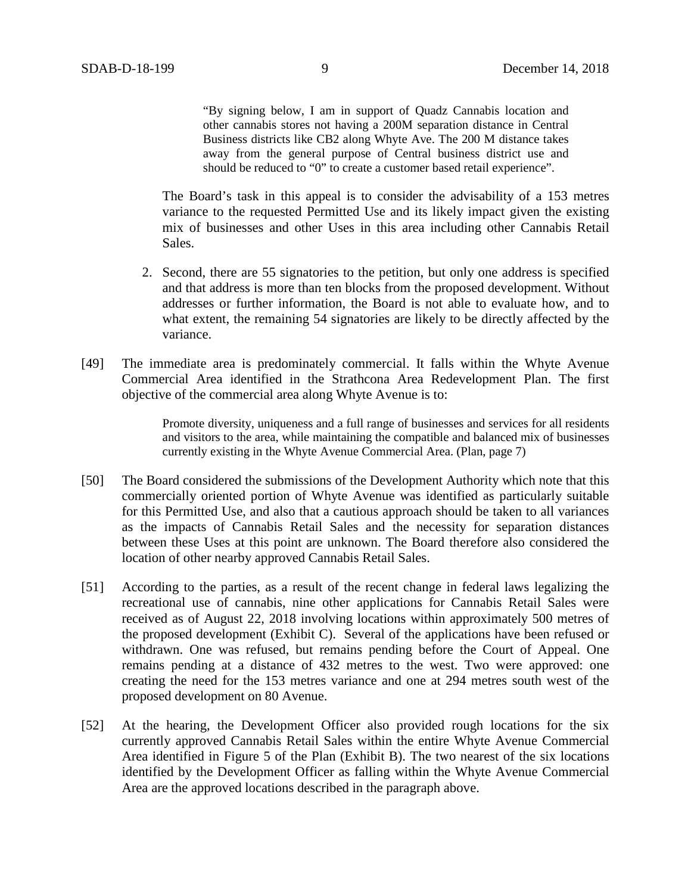"By signing below, I am in support of Quadz Cannabis location and other cannabis stores not having a 200M separation distance in Central Business districts like CB2 along Whyte Ave. The 200 M distance takes away from the general purpose of Central business district use and should be reduced to "0" to create a customer based retail experience".

The Board's task in this appeal is to consider the advisability of a 153 metres variance to the requested Permitted Use and its likely impact given the existing mix of businesses and other Uses in this area including other Cannabis Retail Sales.

- 2. Second, there are 55 signatories to the petition, but only one address is specified and that address is more than ten blocks from the proposed development. Without addresses or further information, the Board is not able to evaluate how, and to what extent, the remaining 54 signatories are likely to be directly affected by the variance.
- [49] The immediate area is predominately commercial. It falls within the Whyte Avenue Commercial Area identified in the Strathcona Area Redevelopment Plan. The first objective of the commercial area along Whyte Avenue is to:

Promote diversity, uniqueness and a full range of businesses and services for all residents and visitors to the area, while maintaining the compatible and balanced mix of businesses currently existing in the Whyte Avenue Commercial Area. (Plan, page 7)

- [50] The Board considered the submissions of the Development Authority which note that this commercially oriented portion of Whyte Avenue was identified as particularly suitable for this Permitted Use, and also that a cautious approach should be taken to all variances as the impacts of Cannabis Retail Sales and the necessity for separation distances between these Uses at this point are unknown. The Board therefore also considered the location of other nearby approved Cannabis Retail Sales.
- [51] According to the parties, as a result of the recent change in federal laws legalizing the recreational use of cannabis, nine other applications for Cannabis Retail Sales were received as of August 22, 2018 involving locations within approximately 500 metres of the proposed development (Exhibit C). Several of the applications have been refused or withdrawn. One was refused, but remains pending before the Court of Appeal. One remains pending at a distance of 432 metres to the west. Two were approved: one creating the need for the 153 metres variance and one at 294 metres south west of the proposed development on 80 Avenue.
- [52] At the hearing, the Development Officer also provided rough locations for the six currently approved Cannabis Retail Sales within the entire Whyte Avenue Commercial Area identified in Figure 5 of the Plan (Exhibit B). The two nearest of the six locations identified by the Development Officer as falling within the Whyte Avenue Commercial Area are the approved locations described in the paragraph above.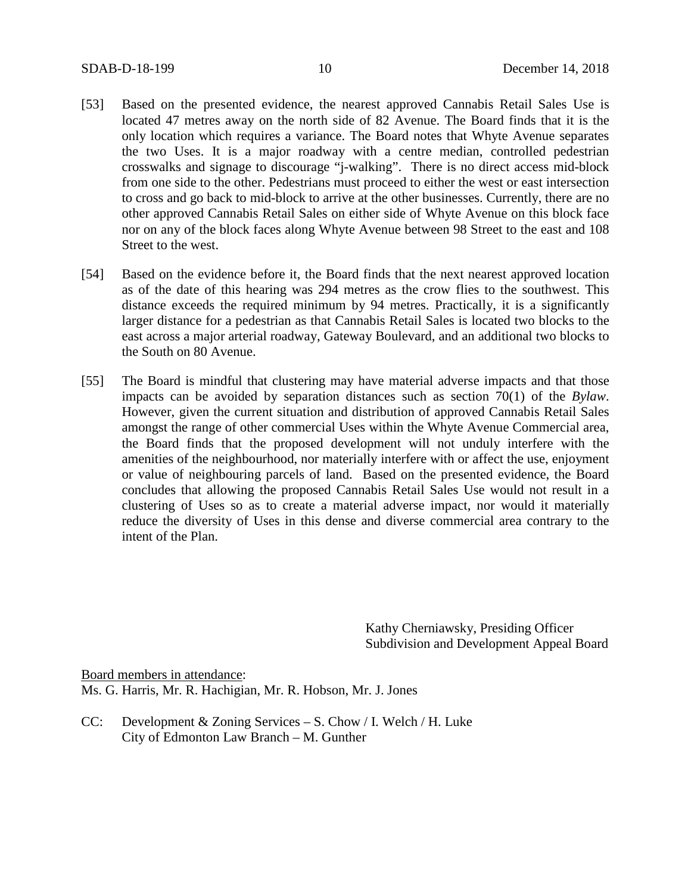- [53] Based on the presented evidence, the nearest approved Cannabis Retail Sales Use is located 47 metres away on the north side of 82 Avenue. The Board finds that it is the only location which requires a variance. The Board notes that Whyte Avenue separates the two Uses. It is a major roadway with a centre median, controlled pedestrian crosswalks and signage to discourage "j-walking". There is no direct access mid-block from one side to the other. Pedestrians must proceed to either the west or east intersection to cross and go back to mid-block to arrive at the other businesses. Currently, there are no other approved Cannabis Retail Sales on either side of Whyte Avenue on this block face nor on any of the block faces along Whyte Avenue between 98 Street to the east and 108 Street to the west.
- [54] Based on the evidence before it, the Board finds that the next nearest approved location as of the date of this hearing was 294 metres as the crow flies to the southwest. This distance exceeds the required minimum by 94 metres. Practically, it is a significantly larger distance for a pedestrian as that Cannabis Retail Sales is located two blocks to the east across a major arterial roadway, Gateway Boulevard, and an additional two blocks to the South on 80 Avenue.
- [55] The Board is mindful that clustering may have material adverse impacts and that those impacts can be avoided by separation distances such as section 70(1) of the *Bylaw*. However, given the current situation and distribution of approved Cannabis Retail Sales amongst the range of other commercial Uses within the Whyte Avenue Commercial area, the Board finds that the proposed development will not unduly interfere with the amenities of the neighbourhood, nor materially interfere with or affect the use, enjoyment or value of neighbouring parcels of land. Based on the presented evidence, the Board concludes that allowing the proposed Cannabis Retail Sales Use would not result in a clustering of Uses so as to create a material adverse impact, nor would it materially reduce the diversity of Uses in this dense and diverse commercial area contrary to the intent of the Plan.

Kathy Cherniawsky, Presiding Officer Subdivision and Development Appeal Board

Board members in attendance: Ms. G. Harris, Mr. R. Hachigian, Mr. R. Hobson, Mr. J. Jones

CC: Development & Zoning Services – S. Chow / I. Welch / H. Luke City of Edmonton Law Branch – M. Gunther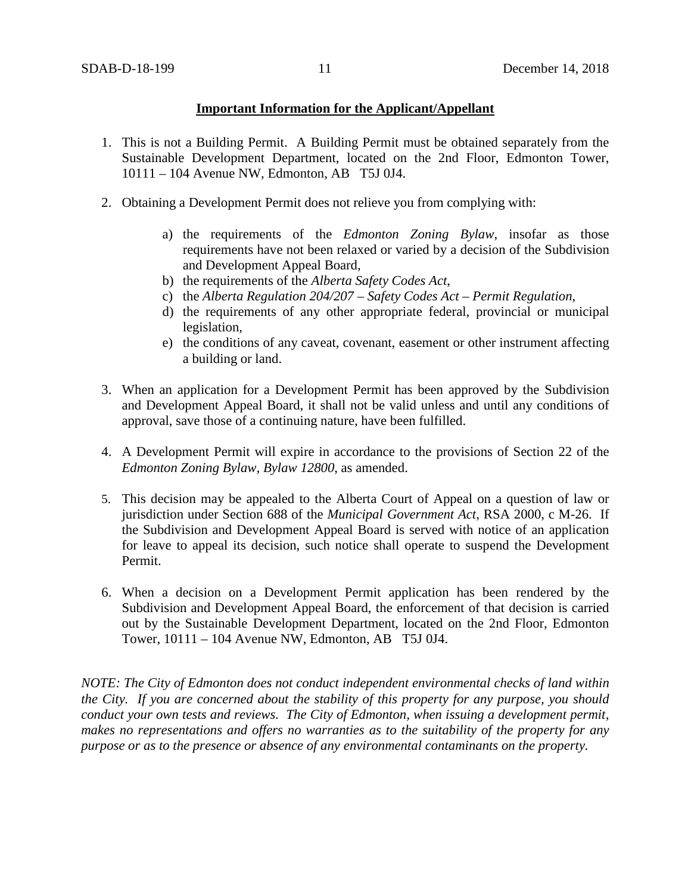## **Important Information for the Applicant/Appellant**

- 1. This is not a Building Permit. A Building Permit must be obtained separately from the Sustainable Development Department, located on the 2nd Floor, Edmonton Tower, 10111 – 104 Avenue NW, Edmonton, AB T5J 0J4.
- 2. Obtaining a Development Permit does not relieve you from complying with:
	- a) the requirements of the *Edmonton Zoning Bylaw*, insofar as those requirements have not been relaxed or varied by a decision of the Subdivision and Development Appeal Board,
	- b) the requirements of the *Alberta Safety Codes Act*,
	- c) the *Alberta Regulation 204/207 – Safety Codes Act – Permit Regulation*,
	- d) the requirements of any other appropriate federal, provincial or municipal legislation,
	- e) the conditions of any caveat, covenant, easement or other instrument affecting a building or land.
- 3. When an application for a Development Permit has been approved by the Subdivision and Development Appeal Board, it shall not be valid unless and until any conditions of approval, save those of a continuing nature, have been fulfilled.
- 4. A Development Permit will expire in accordance to the provisions of Section 22 of the *Edmonton Zoning Bylaw, Bylaw 12800*, as amended.
- 5. This decision may be appealed to the Alberta Court of Appeal on a question of law or jurisdiction under Section 688 of the *Municipal Government Act*, RSA 2000, c M-26. If the Subdivision and Development Appeal Board is served with notice of an application for leave to appeal its decision, such notice shall operate to suspend the Development Permit.
- 6. When a decision on a Development Permit application has been rendered by the Subdivision and Development Appeal Board, the enforcement of that decision is carried out by the Sustainable Development Department, located on the 2nd Floor, Edmonton Tower, 10111 – 104 Avenue NW, Edmonton, AB T5J 0J4.

*NOTE: The City of Edmonton does not conduct independent environmental checks of land within the City. If you are concerned about the stability of this property for any purpose, you should conduct your own tests and reviews. The City of Edmonton, when issuing a development permit, makes no representations and offers no warranties as to the suitability of the property for any purpose or as to the presence or absence of any environmental contaminants on the property.*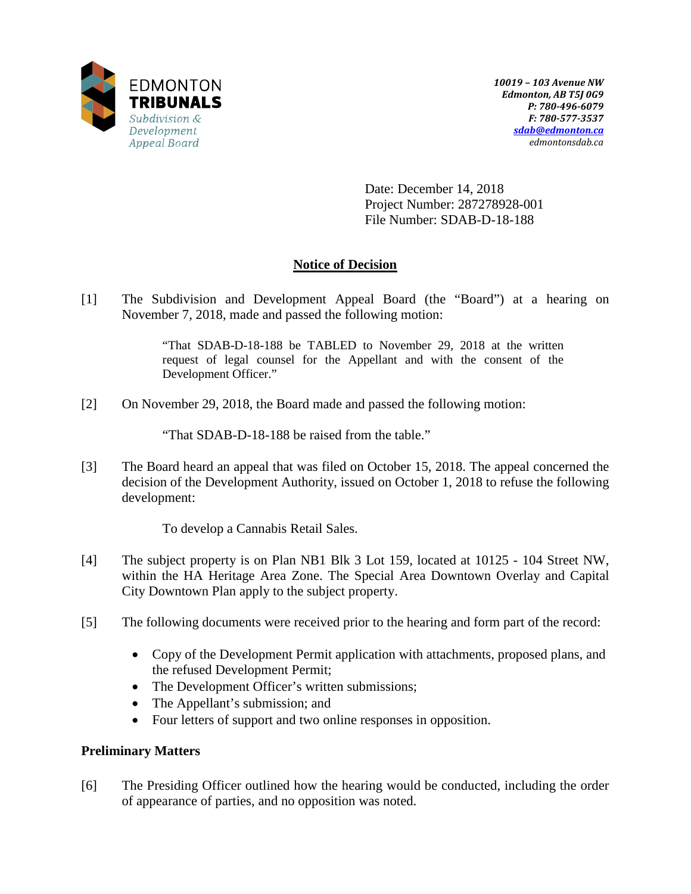

Date: December 14, 2018 Project Number: 287278928-001 File Number: SDAB-D-18-188

# **Notice of Decision**

[1] The Subdivision and Development Appeal Board (the "Board") at a hearing on November 7, 2018, made and passed the following motion:

> "That SDAB-D-18-188 be TABLED to November 29, 2018 at the written request of legal counsel for the Appellant and with the consent of the Development Officer."

[2] On November 29, 2018, the Board made and passed the following motion:

"That SDAB-D-18-188 be raised from the table."

[3] The Board heard an appeal that was filed on October 15, 2018. The appeal concerned the decision of the Development Authority, issued on October 1, 2018 to refuse the following development:

To develop a Cannabis Retail Sales.

- [4] The subject property is on Plan NB1 Blk 3 Lot 159, located at 10125 104 Street NW, within the HA Heritage Area Zone. The Special Area Downtown Overlay and Capital City Downtown Plan apply to the subject property.
- [5] The following documents were received prior to the hearing and form part of the record:
	- Copy of the Development Permit application with attachments, proposed plans, and the refused Development Permit;
	- The Development Officer's written submissions;
	- The Appellant's submission; and
	- Four letters of support and two online responses in opposition.

## **Preliminary Matters**

[6] The Presiding Officer outlined how the hearing would be conducted, including the order of appearance of parties, and no opposition was noted.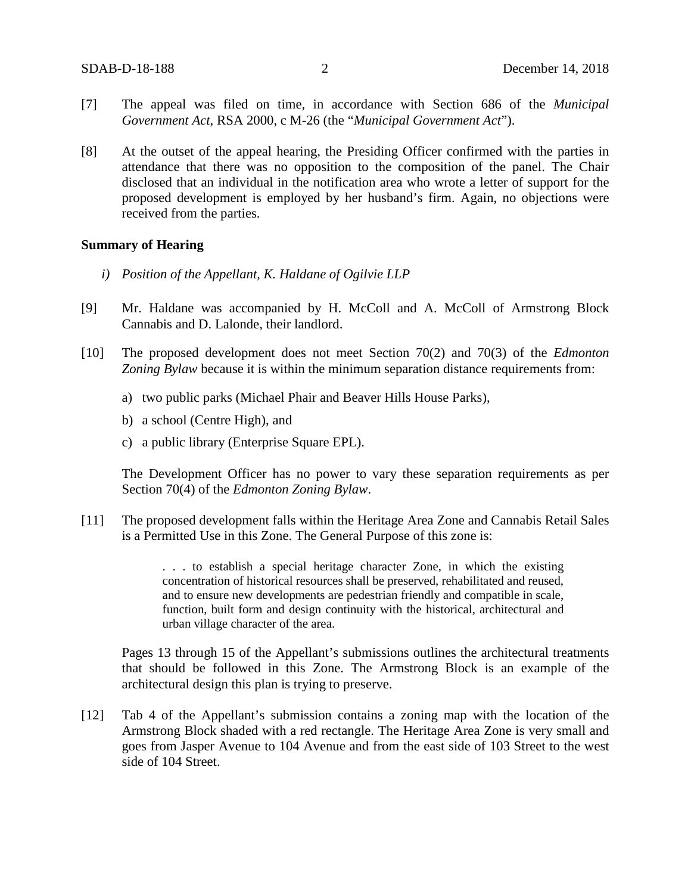- [7] The appeal was filed on time, in accordance with Section 686 of the *Municipal Government Act*, RSA 2000, c M-26 (the "*Municipal Government Act*").
- [8] At the outset of the appeal hearing, the Presiding Officer confirmed with the parties in attendance that there was no opposition to the composition of the panel. The Chair disclosed that an individual in the notification area who wrote a letter of support for the proposed development is employed by her husband's firm. Again, no objections were received from the parties.

### **Summary of Hearing**

- *i) Position of the Appellant, K. Haldane of Ogilvie LLP*
- [9] Mr. Haldane was accompanied by H. McColl and A. McColl of Armstrong Block Cannabis and D. Lalonde, their landlord.
- [10] The proposed development does not meet Section 70(2) and 70(3) of the *Edmonton Zoning Bylaw* because it is within the minimum separation distance requirements from:
	- a) two public parks (Michael Phair and Beaver Hills House Parks),
	- b) a school (Centre High), and
	- c) a public library (Enterprise Square EPL).

The Development Officer has no power to vary these separation requirements as per Section 70(4) of the *Edmonton Zoning Bylaw*.

[11] The proposed development falls within the Heritage Area Zone and Cannabis Retail Sales is a Permitted Use in this Zone. The General Purpose of this zone is:

> . . . to establish a special heritage character Zone, in which the existing concentration of historical resources shall be preserved, rehabilitated and reused, and to ensure new developments are pedestrian friendly and compatible in scale, function, built form and design continuity with the historical, architectural and urban village character of the area.

Pages 13 through 15 of the Appellant's submissions outlines the architectural treatments that should be followed in this Zone. The Armstrong Block is an example of the architectural design this plan is trying to preserve.

[12] Tab 4 of the Appellant's submission contains a zoning map with the location of the Armstrong Block shaded with a red rectangle. The Heritage Area Zone is very small and goes from Jasper Avenue to 104 Avenue and from the east side of 103 Street to the west side of 104 Street.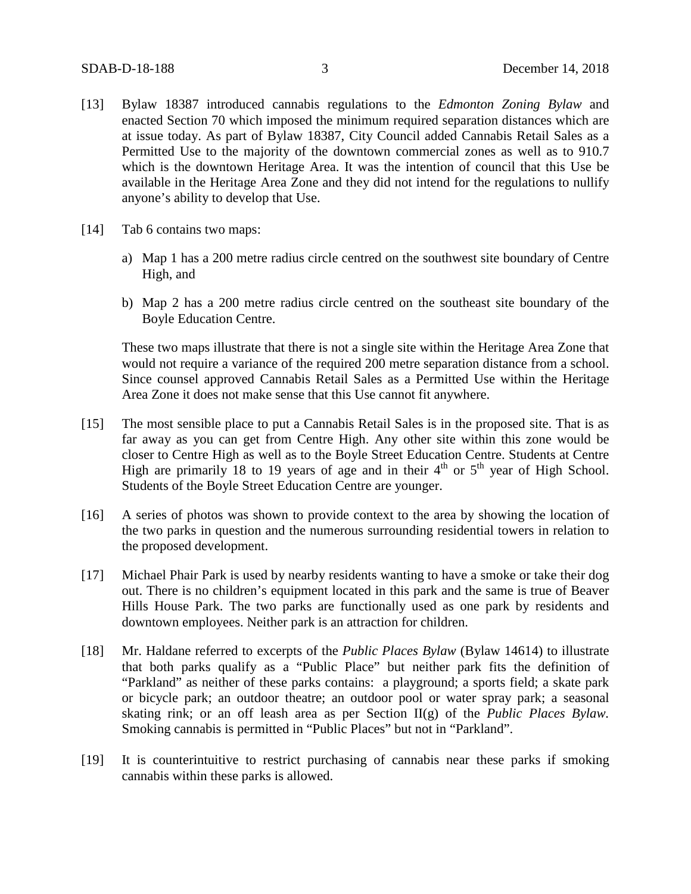- [13] Bylaw 18387 introduced cannabis regulations to the *Edmonton Zoning Bylaw* and enacted Section 70 which imposed the minimum required separation distances which are at issue today. As part of Bylaw 18387, City Council added Cannabis Retail Sales as a Permitted Use to the majority of the downtown commercial zones as well as to 910.7 which is the downtown Heritage Area. It was the intention of council that this Use be available in the Heritage Area Zone and they did not intend for the regulations to nullify anyone's ability to develop that Use.
- [14] Tab 6 contains two maps:
	- a) Map 1 has a 200 metre radius circle centred on the southwest site boundary of Centre High, and
	- b) Map 2 has a 200 metre radius circle centred on the southeast site boundary of the Boyle Education Centre.

These two maps illustrate that there is not a single site within the Heritage Area Zone that would not require a variance of the required 200 metre separation distance from a school. Since counsel approved Cannabis Retail Sales as a Permitted Use within the Heritage Area Zone it does not make sense that this Use cannot fit anywhere.

- [15] The most sensible place to put a Cannabis Retail Sales is in the proposed site. That is as far away as you can get from Centre High. Any other site within this zone would be closer to Centre High as well as to the Boyle Street Education Centre. Students at Centre High are primarily 18 to 19 years of age and in their  $4<sup>th</sup>$  or  $5<sup>th</sup>$  year of High School. Students of the Boyle Street Education Centre are younger.
- [16] A series of photos was shown to provide context to the area by showing the location of the two parks in question and the numerous surrounding residential towers in relation to the proposed development.
- [17] Michael Phair Park is used by nearby residents wanting to have a smoke or take their dog out. There is no children's equipment located in this park and the same is true of Beaver Hills House Park. The two parks are functionally used as one park by residents and downtown employees. Neither park is an attraction for children.
- [18] Mr. Haldane referred to excerpts of the *Public Places Bylaw* (Bylaw 14614) to illustrate that both parks qualify as a "Public Place" but neither park fits the definition of "Parkland" as neither of these parks contains: a playground; a sports field; a skate park or bicycle park; an outdoor theatre; an outdoor pool or water spray park; a seasonal skating rink; or an off leash area as per Section II(g) of the *Public Places Bylaw.* Smoking cannabis is permitted in "Public Places" but not in "Parkland".
- [19] It is counterintuitive to restrict purchasing of cannabis near these parks if smoking cannabis within these parks is allowed.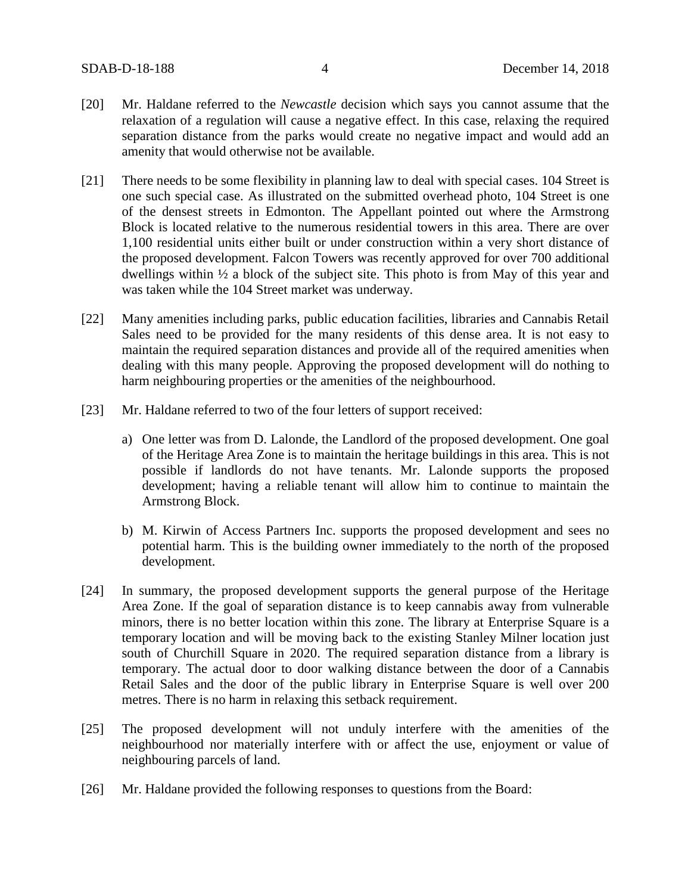- [20] Mr. Haldane referred to the *Newcastle* decision which says you cannot assume that the relaxation of a regulation will cause a negative effect. In this case, relaxing the required separation distance from the parks would create no negative impact and would add an amenity that would otherwise not be available.
- [21] There needs to be some flexibility in planning law to deal with special cases. 104 Street is one such special case. As illustrated on the submitted overhead photo, 104 Street is one of the densest streets in Edmonton. The Appellant pointed out where the Armstrong Block is located relative to the numerous residential towers in this area. There are over 1,100 residential units either built or under construction within a very short distance of the proposed development. Falcon Towers was recently approved for over 700 additional dwellings within ½ a block of the subject site. This photo is from May of this year and was taken while the 104 Street market was underway.
- [22] Many amenities including parks, public education facilities, libraries and Cannabis Retail Sales need to be provided for the many residents of this dense area. It is not easy to maintain the required separation distances and provide all of the required amenities when dealing with this many people. Approving the proposed development will do nothing to harm neighbouring properties or the amenities of the neighbourhood.
- [23] Mr. Haldane referred to two of the four letters of support received:
	- a) One letter was from D. Lalonde, the Landlord of the proposed development. One goal of the Heritage Area Zone is to maintain the heritage buildings in this area. This is not possible if landlords do not have tenants. Mr. Lalonde supports the proposed development; having a reliable tenant will allow him to continue to maintain the Armstrong Block.
	- b) M. Kirwin of Access Partners Inc. supports the proposed development and sees no potential harm. This is the building owner immediately to the north of the proposed development.
- [24] In summary, the proposed development supports the general purpose of the Heritage Area Zone. If the goal of separation distance is to keep cannabis away from vulnerable minors, there is no better location within this zone. The library at Enterprise Square is a temporary location and will be moving back to the existing Stanley Milner location just south of Churchill Square in 2020. The required separation distance from a library is temporary. The actual door to door walking distance between the door of a Cannabis Retail Sales and the door of the public library in Enterprise Square is well over 200 metres. There is no harm in relaxing this setback requirement.
- [25] The proposed development will not unduly interfere with the amenities of the neighbourhood nor materially interfere with or affect the use, enjoyment or value of neighbouring parcels of land.
- [26] Mr. Haldane provided the following responses to questions from the Board: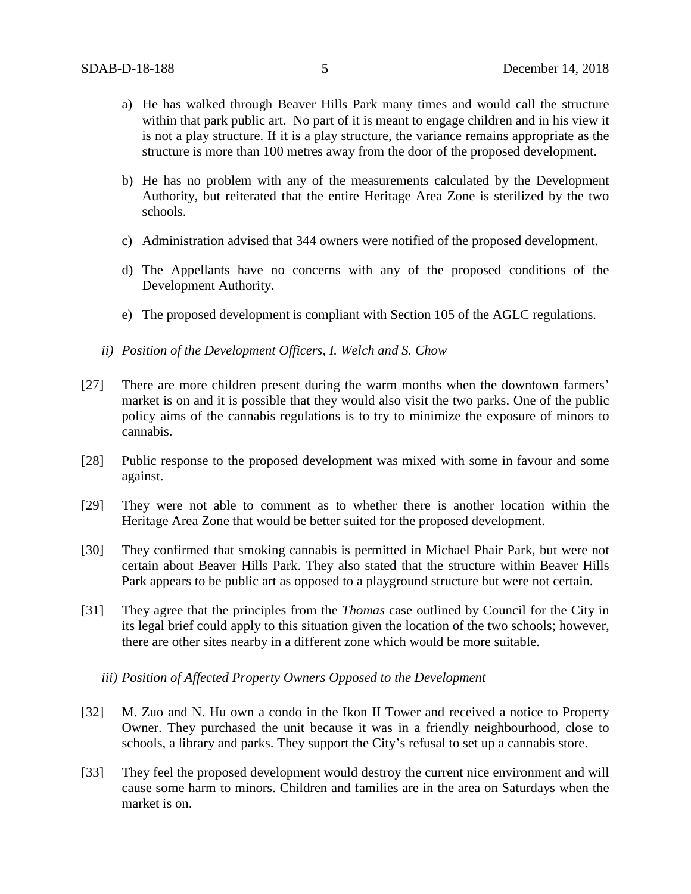- a) He has walked through Beaver Hills Park many times and would call the structure within that park public art. No part of it is meant to engage children and in his view it is not a play structure. If it is a play structure, the variance remains appropriate as the structure is more than 100 metres away from the door of the proposed development.
- b) He has no problem with any of the measurements calculated by the Development Authority, but reiterated that the entire Heritage Area Zone is sterilized by the two schools.
- c) Administration advised that 344 owners were notified of the proposed development.
- d) The Appellants have no concerns with any of the proposed conditions of the Development Authority.
- e) The proposed development is compliant with Section 105 of the AGLC regulations.
- *ii) Position of the Development Officers, I. Welch and S. Chow*
- [27] There are more children present during the warm months when the downtown farmers' market is on and it is possible that they would also visit the two parks. One of the public policy aims of the cannabis regulations is to try to minimize the exposure of minors to cannabis.
- [28] Public response to the proposed development was mixed with some in favour and some against.
- [29] They were not able to comment as to whether there is another location within the Heritage Area Zone that would be better suited for the proposed development.
- [30] They confirmed that smoking cannabis is permitted in Michael Phair Park, but were not certain about Beaver Hills Park. They also stated that the structure within Beaver Hills Park appears to be public art as opposed to a playground structure but were not certain.
- [31] They agree that the principles from the *Thomas* case outlined by Council for the City in its legal brief could apply to this situation given the location of the two schools; however, there are other sites nearby in a different zone which would be more suitable.
	- *iii) Position of Affected Property Owners Opposed to the Development*
- [32] M. Zuo and N. Hu own a condo in the Ikon II Tower and received a notice to Property Owner. They purchased the unit because it was in a friendly neighbourhood, close to schools, a library and parks. They support the City's refusal to set up a cannabis store.
- [33] They feel the proposed development would destroy the current nice environment and will cause some harm to minors. Children and families are in the area on Saturdays when the market is on.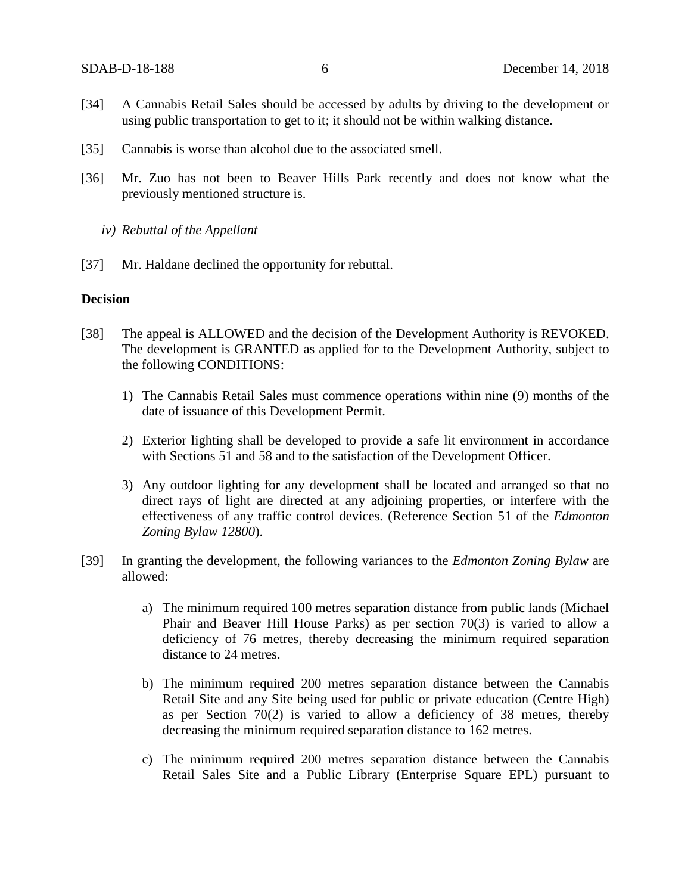- [34] A Cannabis Retail Sales should be accessed by adults by driving to the development or using public transportation to get to it; it should not be within walking distance.
- [35] Cannabis is worse than alcohol due to the associated smell.
- [36] Mr. Zuo has not been to Beaver Hills Park recently and does not know what the previously mentioned structure is.
	- *iv) Rebuttal of the Appellant*
- [37] Mr. Haldane declined the opportunity for rebuttal.

### **Decision**

- [38] The appeal is ALLOWED and the decision of the Development Authority is REVOKED. The development is GRANTED as applied for to the Development Authority, subject to the following CONDITIONS:
	- 1) The Cannabis Retail Sales must commence operations within nine (9) months of the date of issuance of this Development Permit.
	- 2) Exterior lighting shall be developed to provide a safe lit environment in accordance with Sections 51 and 58 and to the satisfaction of the Development Officer.
	- 3) Any outdoor lighting for any development shall be located and arranged so that no direct rays of light are directed at any adjoining properties, or interfere with the effectiveness of any traffic control devices. (Reference Section 51 of the *Edmonton Zoning Bylaw 12800*).
- [39] In granting the development, the following variances to the *Edmonton Zoning Bylaw* are allowed:
	- a) The minimum required 100 metres separation distance from public lands (Michael Phair and Beaver Hill House Parks) as per section 70(3) is varied to allow a deficiency of 76 metres, thereby decreasing the minimum required separation distance to 24 metres.
	- b) The minimum required 200 metres separation distance between the Cannabis Retail Site and any Site being used for public or private education (Centre High) as per Section 70(2) is varied to allow a deficiency of 38 metres, thereby decreasing the minimum required separation distance to 162 metres.
	- c) The minimum required 200 metres separation distance between the Cannabis Retail Sales Site and a Public Library (Enterprise Square EPL) pursuant to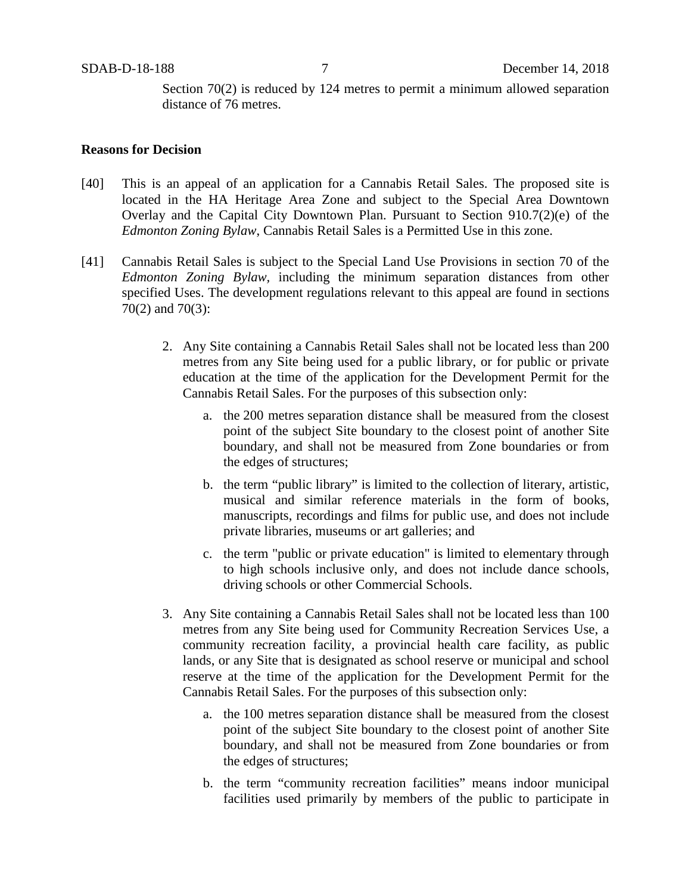Section 70(2) is reduced by 124 metres to permit a minimum allowed separation distance of 76 metres.

## **Reasons for Decision**

- [40] This is an appeal of an application for a Cannabis Retail Sales. The proposed site is located in the HA Heritage Area Zone and subject to the Special Area Downtown Overlay and the Capital City Downtown Plan. Pursuant to Section 910.7(2)(e) of the *Edmonton Zoning Bylaw*, Cannabis Retail Sales is a Permitted Use in this zone.
- [41] Cannabis Retail Sales is subject to the Special Land Use Provisions in section 70 of the *Edmonton Zoning Bylaw,* including the minimum separation distances from other specified Uses. The development regulations relevant to this appeal are found in sections 70(2) and 70(3):
	- 2. Any Site containing a Cannabis Retail Sales shall not be located less than 200 metres from any Site being used for a public library, or for public or private education at the time of the application for the Development Permit for the Cannabis Retail Sales. For the purposes of this subsection only:
		- a. the 200 metres separation distance shall be measured from the closest point of the subject Site boundary to the closest point of another Site boundary, and shall not be measured from Zone boundaries or from the edges of structures;
		- b. the term "public library" is limited to the collection of literary, artistic, musical and similar reference materials in the form of books, manuscripts, recordings and films for public use, and does not include private libraries, museums or art galleries; and
		- c. the term "public or private education" is limited to elementary through to high schools inclusive only, and does not include dance schools, driving schools or other Commercial Schools.
	- 3. Any Site containing a Cannabis Retail Sales shall not be located less than 100 metres from any Site being used for Community Recreation Services Use, a community recreation facility, a provincial health care facility, as public lands, or any Site that is designated as school reserve or municipal and school reserve at the time of the application for the Development Permit for the Cannabis Retail Sales. For the purposes of this subsection only:
		- a. the 100 metres separation distance shall be measured from the closest point of the subject Site boundary to the closest point of another Site boundary, and shall not be measured from Zone boundaries or from the edges of structures;
		- b. the term "community recreation facilities" means indoor municipal facilities used primarily by members of the public to participate in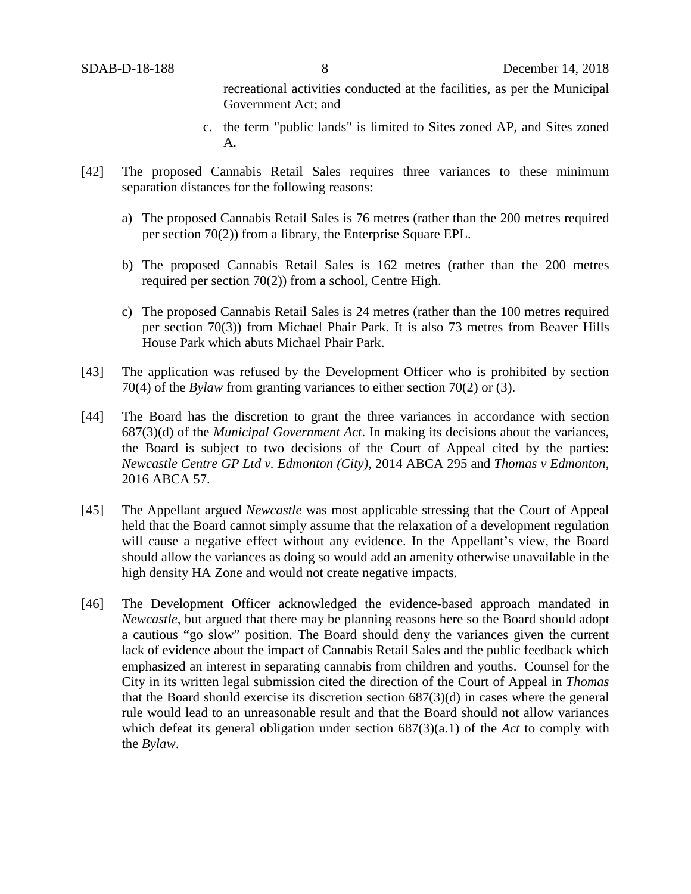recreational activities conducted at the facilities, as per the Municipal Government Act; and

- c. the term "public lands" is limited to Sites zoned AP, and Sites zoned A.
- [42] The proposed Cannabis Retail Sales requires three variances to these minimum separation distances for the following reasons:
	- a) The proposed Cannabis Retail Sales is 76 metres (rather than the 200 metres required per section 70(2)) from a library, the Enterprise Square EPL.
	- b) The proposed Cannabis Retail Sales is 162 metres (rather than the 200 metres required per section 70(2)) from a school, Centre High.
	- c) The proposed Cannabis Retail Sales is 24 metres (rather than the 100 metres required per section 70(3)) from Michael Phair Park. It is also 73 metres from Beaver Hills House Park which abuts Michael Phair Park.
- [43] The application was refused by the Development Officer who is prohibited by section 70(4) of the *Bylaw* from granting variances to either section 70(2) or (3).
- [44] The Board has the discretion to grant the three variances in accordance with section 687(3)(d) of the *Municipal Government Act*. In making its decisions about the variances, the Board is subject to two decisions of the Court of Appeal cited by the parties: *Newcastle Centre GP Ltd v. Edmonton (City),* 2014 ABCA 295 and *Thomas v Edmonton*, 2016 ABCA 57.
- [45] The Appellant argued *Newcastle* was most applicable stressing that the Court of Appeal held that the Board cannot simply assume that the relaxation of a development regulation will cause a negative effect without any evidence. In the Appellant's view, the Board should allow the variances as doing so would add an amenity otherwise unavailable in the high density HA Zone and would not create negative impacts.
- [46] The Development Officer acknowledged the evidence-based approach mandated in *Newcastle*, but argued that there may be planning reasons here so the Board should adopt a cautious "go slow" position. The Board should deny the variances given the current lack of evidence about the impact of Cannabis Retail Sales and the public feedback which emphasized an interest in separating cannabis from children and youths. Counsel for the City in its written legal submission cited the direction of the Court of Appeal in *Thomas* that the Board should exercise its discretion section 687(3)(d) in cases where the general rule would lead to an unreasonable result and that the Board should not allow variances which defeat its general obligation under section 687(3)(a.1) of the *Act* to comply with the *Bylaw*.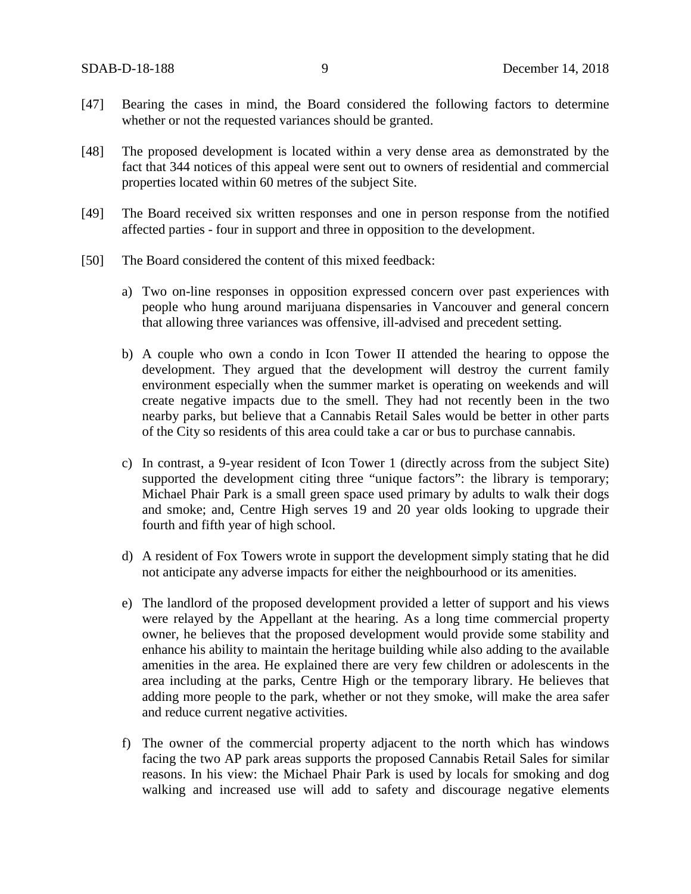- [47] Bearing the cases in mind, the Board considered the following factors to determine whether or not the requested variances should be granted.
- [48] The proposed development is located within a very dense area as demonstrated by the fact that 344 notices of this appeal were sent out to owners of residential and commercial properties located within 60 metres of the subject Site.
- [49] The Board received six written responses and one in person response from the notified affected parties - four in support and three in opposition to the development.
- [50] The Board considered the content of this mixed feedback:
	- a) Two on-line responses in opposition expressed concern over past experiences with people who hung around marijuana dispensaries in Vancouver and general concern that allowing three variances was offensive, ill-advised and precedent setting.
	- b) A couple who own a condo in Icon Tower II attended the hearing to oppose the development. They argued that the development will destroy the current family environment especially when the summer market is operating on weekends and will create negative impacts due to the smell. They had not recently been in the two nearby parks, but believe that a Cannabis Retail Sales would be better in other parts of the City so residents of this area could take a car or bus to purchase cannabis.
	- c) In contrast, a 9-year resident of Icon Tower 1 (directly across from the subject Site) supported the development citing three "unique factors": the library is temporary; Michael Phair Park is a small green space used primary by adults to walk their dogs and smoke; and, Centre High serves 19 and 20 year olds looking to upgrade their fourth and fifth year of high school.
	- d) A resident of Fox Towers wrote in support the development simply stating that he did not anticipate any adverse impacts for either the neighbourhood or its amenities.
	- e) The landlord of the proposed development provided a letter of support and his views were relayed by the Appellant at the hearing. As a long time commercial property owner, he believes that the proposed development would provide some stability and enhance his ability to maintain the heritage building while also adding to the available amenities in the area. He explained there are very few children or adolescents in the area including at the parks, Centre High or the temporary library. He believes that adding more people to the park, whether or not they smoke, will make the area safer and reduce current negative activities.
	- f) The owner of the commercial property adjacent to the north which has windows facing the two AP park areas supports the proposed Cannabis Retail Sales for similar reasons. In his view: the Michael Phair Park is used by locals for smoking and dog walking and increased use will add to safety and discourage negative elements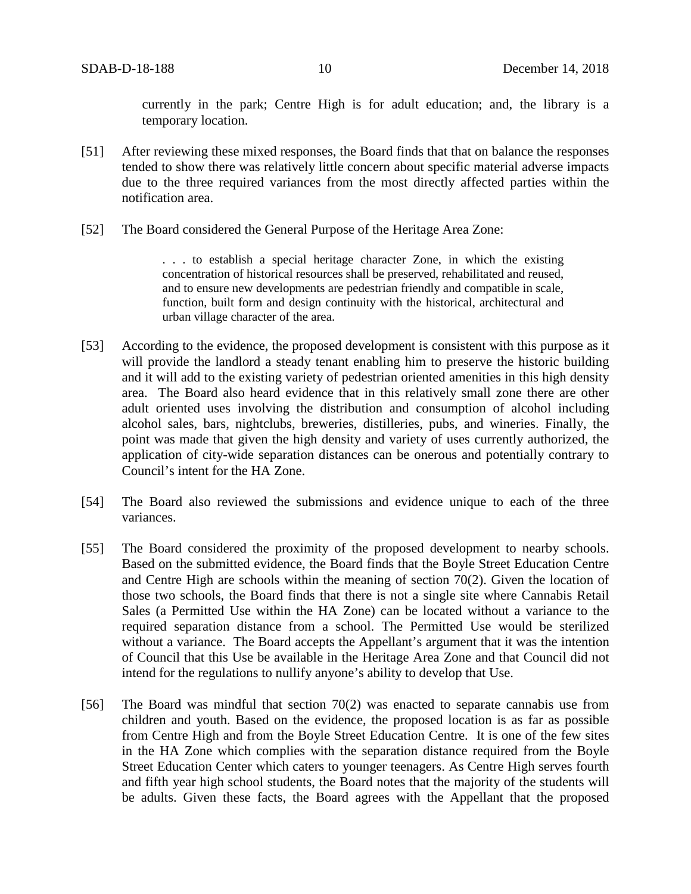currently in the park; Centre High is for adult education; and, the library is a temporary location.

- [51] After reviewing these mixed responses, the Board finds that that on balance the responses tended to show there was relatively little concern about specific material adverse impacts due to the three required variances from the most directly affected parties within the notification area.
- [52] The Board considered the General Purpose of the Heritage Area Zone:

. . . to establish a special heritage character Zone, in which the existing concentration of historical resources shall be preserved, rehabilitated and reused, and to ensure new developments are pedestrian friendly and compatible in scale, function, built form and design continuity with the historical, architectural and urban village character of the area.

- [53] According to the evidence, the proposed development is consistent with this purpose as it will provide the landlord a steady tenant enabling him to preserve the historic building and it will add to the existing variety of pedestrian oriented amenities in this high density area. The Board also heard evidence that in this relatively small zone there are other adult oriented uses involving the distribution and consumption of alcohol including alcohol sales, bars, nightclubs, breweries, distilleries, pubs, and wineries. Finally, the point was made that given the high density and variety of uses currently authorized, the application of city-wide separation distances can be onerous and potentially contrary to Council's intent for the HA Zone.
- [54] The Board also reviewed the submissions and evidence unique to each of the three variances.
- [55] The Board considered the proximity of the proposed development to nearby schools. Based on the submitted evidence, the Board finds that the Boyle Street Education Centre and Centre High are schools within the meaning of section 70(2). Given the location of those two schools, the Board finds that there is not a single site where Cannabis Retail Sales (a Permitted Use within the HA Zone) can be located without a variance to the required separation distance from a school. The Permitted Use would be sterilized without a variance. The Board accepts the Appellant's argument that it was the intention of Council that this Use be available in the Heritage Area Zone and that Council did not intend for the regulations to nullify anyone's ability to develop that Use.
- [56] The Board was mindful that section 70(2) was enacted to separate cannabis use from children and youth. Based on the evidence, the proposed location is as far as possible from Centre High and from the Boyle Street Education Centre. It is one of the few sites in the HA Zone which complies with the separation distance required from the Boyle Street Education Center which caters to younger teenagers. As Centre High serves fourth and fifth year high school students, the Board notes that the majority of the students will be adults. Given these facts, the Board agrees with the Appellant that the proposed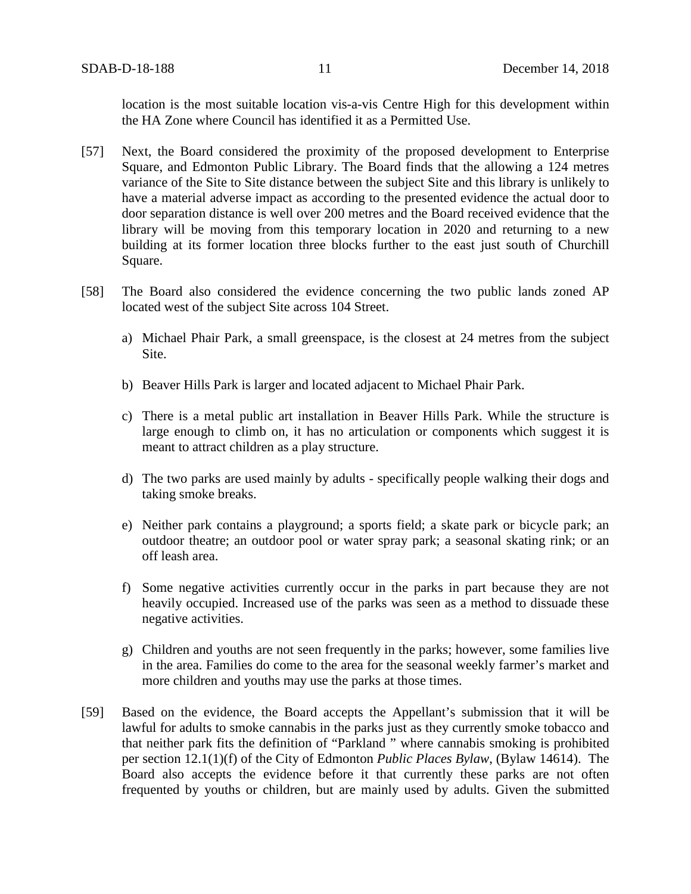location is the most suitable location vis-a-vis Centre High for this development within the HA Zone where Council has identified it as a Permitted Use.

- [57] Next, the Board considered the proximity of the proposed development to Enterprise Square, and Edmonton Public Library. The Board finds that the allowing a 124 metres variance of the Site to Site distance between the subject Site and this library is unlikely to have a material adverse impact as according to the presented evidence the actual door to door separation distance is well over 200 metres and the Board received evidence that the library will be moving from this temporary location in 2020 and returning to a new building at its former location three blocks further to the east just south of Churchill Square.
- [58] The Board also considered the evidence concerning the two public lands zoned AP located west of the subject Site across 104 Street.
	- a) Michael Phair Park, a small greenspace, is the closest at 24 metres from the subject Site.
	- b) Beaver Hills Park is larger and located adjacent to Michael Phair Park.
	- c) There is a metal public art installation in Beaver Hills Park. While the structure is large enough to climb on, it has no articulation or components which suggest it is meant to attract children as a play structure.
	- d) The two parks are used mainly by adults specifically people walking their dogs and taking smoke breaks.
	- e) Neither park contains a playground; a sports field; a skate park or bicycle park; an outdoor theatre; an outdoor pool or water spray park; a seasonal skating rink; or an off leash area.
	- f) Some negative activities currently occur in the parks in part because they are not heavily occupied. Increased use of the parks was seen as a method to dissuade these negative activities.
	- g) Children and youths are not seen frequently in the parks; however, some families live in the area. Families do come to the area for the seasonal weekly farmer's market and more children and youths may use the parks at those times.
- [59] Based on the evidence, the Board accepts the Appellant's submission that it will be lawful for adults to smoke cannabis in the parks just as they currently smoke tobacco and that neither park fits the definition of "Parkland " where cannabis smoking is prohibited per section 12.1(1)(f) of the City of Edmonton *Public Places Bylaw*, (Bylaw 14614). The Board also accepts the evidence before it that currently these parks are not often frequented by youths or children, but are mainly used by adults. Given the submitted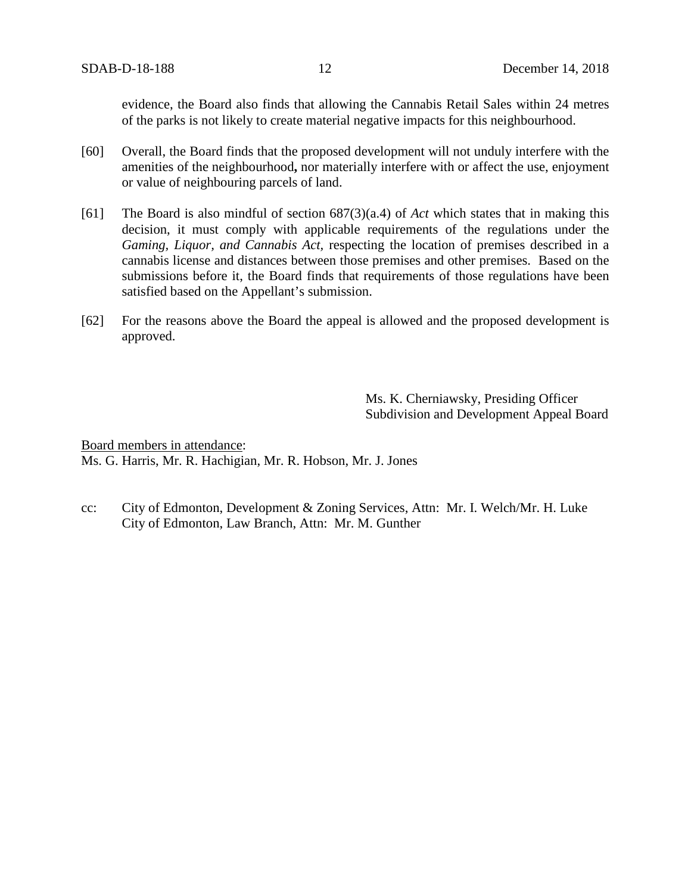evidence, the Board also finds that allowing the Cannabis Retail Sales within 24 metres of the parks is not likely to create material negative impacts for this neighbourhood.

- [60] Overall, the Board finds that the proposed development will not unduly interfere with the amenities of the neighbourhood**,** nor materially interfere with or affect the use, enjoyment or value of neighbouring parcels of land.
- [61] The Board is also mindful of section 687(3)(a.4) of *Act* which states that in making this decision, it must comply with applicable requirements of the regulations under the *Gaming, Liquor, and Cannabis Act,* respecting the location of premises described in a cannabis license and distances between those premises and other premises. Based on the submissions before it, the Board finds that requirements of those regulations have been satisfied based on the Appellant's submission.
- [62] For the reasons above the Board the appeal is allowed and the proposed development is approved.

Ms. K. Cherniawsky, Presiding Officer Subdivision and Development Appeal Board

Board members in attendance: Ms. G. Harris, Mr. R. Hachigian, Mr. R. Hobson, Mr. J. Jones

cc: City of Edmonton, Development & Zoning Services, Attn: Mr. I. Welch/Mr. H. Luke City of Edmonton, Law Branch, Attn: Mr. M. Gunther